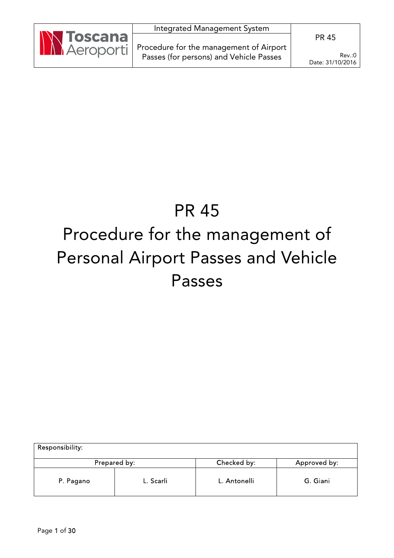|                   | Integrated Management System                        |                            |
|-------------------|-----------------------------------------------------|----------------------------|
| <b>IN Toscana</b> |                                                     | <b>PR 45</b>               |
|                   | Aeroporti   Procedure for the management of Airport |                            |
|                   | Passes (for persons) and Vehicle Passes             | Rev.:0<br>Date: 31/10/2016 |

# PR 45 Procedure for the management of Personal Airport Passes and Vehicle Passes

| Responsibility: |              |              |              |
|-----------------|--------------|--------------|--------------|
|                 | Prepared by: | Checked by:  | Approved by: |
| P. Pagano       | L. Scarli    | L. Antonelli | G. Giani     |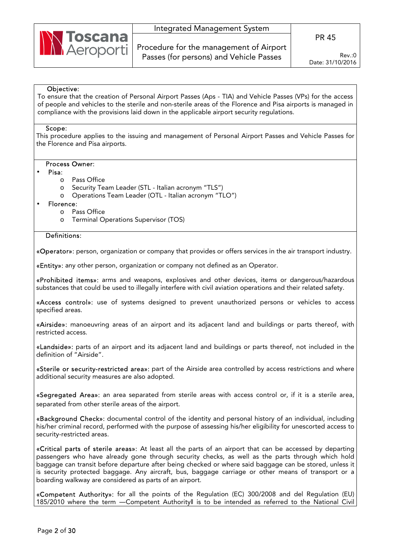

Procedure for the management of Airport Passes (for persons) and Vehicle Passes

Rev.:0 Date: 31/10/2016

### Objective:

To ensure that the creation of Personal Airport Passes (Aps - TIA) and Vehicle Passes (VPs) for the access of people and vehicles to the sterile and non-sterile areas of the Florence and Pisa airports is managed in compliance with the provisions laid down in the applicable airport security regulations.

#### Scope:

This procedure applies to the issuing and management of Personal Airport Passes and Vehicle Passes for the Florence and Pisa airports.

### Process Owner:

#### • Pisa:

- o Pass Office
- o Security Team Leader (STL Italian acronym "TLS")
- o Operations Team Leader (OTL Italian acronym "TLO")
- Florence:
	- o Pass Office
	- o Terminal Operations Supervisor (TOS)

#### Definitions:

«Operator»: person, organization or company that provides or offers services in the air transport industry.

«Entity»: any other person, organization or company not defined as an Operator.

«Prohibited items»: arms and weapons, explosives and other devices, items or dangerous/hazardous substances that could be used to illegally interfere with civil aviation operations and their related safety.

«Access control»: use of systems designed to prevent unauthorized persons or vehicles to access specified areas.

«Airside»: manoeuvring areas of an airport and its adjacent land and buildings or parts thereof, with restricted access.

«Landside»: parts of an airport and its adjacent land and buildings or parts thereof, not included in the definition of "Airside".

«Sterile or security-restricted area»: part of the Airside area controlled by access restrictions and where additional security measures are also adopted.

«Segregated Area»: an area separated from sterile areas with access control or, if it is a sterile area, separated from other sterile areas of the airport.

«Background Check»: documental control of the identity and personal history of an individual, including his/her criminal record, performed with the purpose of assessing his/her eligibility for unescorted access to security-restricted areas.

«Critical parts of sterile areas»: At least all the parts of an airport that can be accessed by departing passengers who have already gone through security checks, as well as the parts through which hold baggage can transit before departure after being checked or where said baggage can be stored, unless it is security protected baggage. Any aircraft, bus, baggage carriage or other means of transport or a boarding walkway are considered as parts of an airport.

«Competent Authority»: for all the points of the Regulation (EC) 300/2008 and del Regulation (EU) 185/2010 where the term — Competent Authorityll is to be intended as referred to the National Civil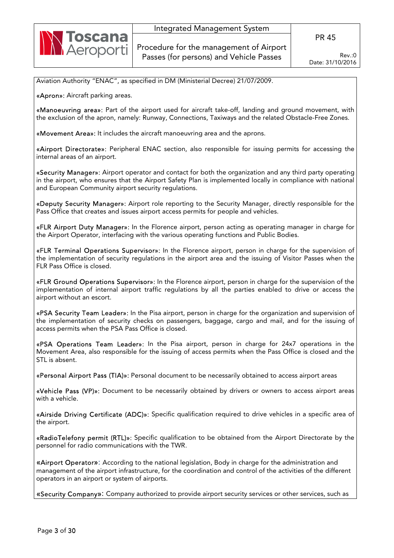

Aviation Authority "ENAC", as specified in DM (Ministerial Decree) 21/07/2009.

«Apron»: Aircraft parking areas.

«Manoeuvring area»: Part of the airport used for aircraft take-off, landing and ground movement, with the exclusion of the apron, namely: Runway, Connections, Taxiways and the related Obstacle-Free Zones.

«Movement Area»: It includes the aircraft manoeuvring area and the aprons.

«Airport Directorate»: Peripheral ENAC section, also responsible for issuing permits for accessing the internal areas of an airport.

«Security Manager»: Airport operator and contact for both the organization and any third party operating in the airport, who ensures that the Airport Safety Plan is implemented locally in compliance with national and European Community airport security regulations.

«Deputy Security Manager»: Airport role reporting to the Security Manager, directly responsible for the Pass Office that creates and issues airport access permits for people and vehicles.

«FLR Airport Duty Manager»: In the Florence airport, person acting as operating manager in charge for the Airport Operator, interfacing with the various operating functions and Public Bodies.

«FLR Terminal Operations Supervisor»: In the Florence airport, person in charge for the supervision of the implementation of security regulations in the airport area and the issuing of Visitor Passes when the FLR Pass Office is closed.

«FLR Ground Operations Supervisor»: In the Florence airport, person in charge for the supervision of the implementation of internal airport traffic regulations by all the parties enabled to drive or access the airport without an escort.

«PSA Security Team Leader»: In the Pisa airport, person in charge for the organization and supervision of the implementation of security checks on passengers, baggage, cargo and mail, and for the issuing of access permits when the PSA Pass Office is closed.

«PSA Operations Team Leader»: In the Pisa airport, person in charge for 24x7 operations in the Movement Area, also responsible for the issuing of access permits when the Pass Office is closed and the STL is absent.

«Personal Airport Pass (TIA)»: Personal document to be necessarily obtained to access airport areas

«Vehicle Pass (VP)»: Document to be necessarily obtained by drivers or owners to access airport areas with a vehicle.

«Airside Driving Certificate (ADC)»: Specific qualification required to drive vehicles in a specific area of the airport.

«RadioTelefony permit (RTL)»: Specific qualification to be obtained from the Airport Directorate by the personnel for radio communications with the TWR.

«Airport Operator»: According to the national legislation, Body in charge for the administration and management of the airport infrastructure, for the coordination and control of the activities of the different operators in an airport or system of airports.

«Security Company»: Company authorized to provide airport security services or other services, such as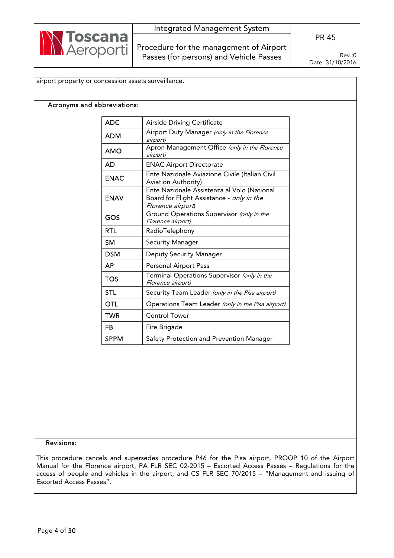

### Acronyms and abbreviations:

| <b>ADC</b>  | Airside Driving Certificate                                                                                   |
|-------------|---------------------------------------------------------------------------------------------------------------|
| <b>ADM</b>  | Airport Duty Manager (only in the Florence<br>airport)                                                        |
| <b>AMO</b>  | Apron Management Office (only in the Florence<br>airport)                                                     |
| <b>AD</b>   | <b>ENAC Airport Directorate</b>                                                                               |
| <b>ENAC</b> | Ente Nazionale Aviazione Civile (Italian Civil<br>Aviation Authority)                                         |
| <b>ENAV</b> | Ente Nazionale Assistenza al Volo (National<br>Board for Flight Assistance - only in the<br>Florence airport) |
| GOS         | Ground Operations Supervisor (only in the<br>Florence airport)                                                |
| <b>RTL</b>  | RadioTelephony                                                                                                |
| <b>SM</b>   | <b>Security Manager</b>                                                                                       |
| <b>DSM</b>  | <b>Deputy Security Manager</b>                                                                                |
| <b>AP</b>   | Personal Airport Pass                                                                                         |
| <b>TOS</b>  | Terminal Operations Supervisor (only in the<br>Florence airport)                                              |
| <b>STL</b>  | Security Team Leader (only in the Pisa airport)                                                               |
| <b>OTL</b>  | Operations Team Leader (only in the Pisa airport)                                                             |
| TWR         | <b>Control Tower</b>                                                                                          |
| FB          | Fire Brigade                                                                                                  |
| <b>SPPM</b> | Safety Protection and Prevention Manager                                                                      |

## Revisions:

This procedure cancels and supersedes procedure P46 for the Pisa airport, PROOP 10 of the Airport Manual for the Florence airport, PA FLR SEC 02-2015 – Escorted Access Passes – Regulations for the access of people and vehicles in the airport, and CS FLR SEC 70/2015 – "Management and issuing of Escorted Access Passes".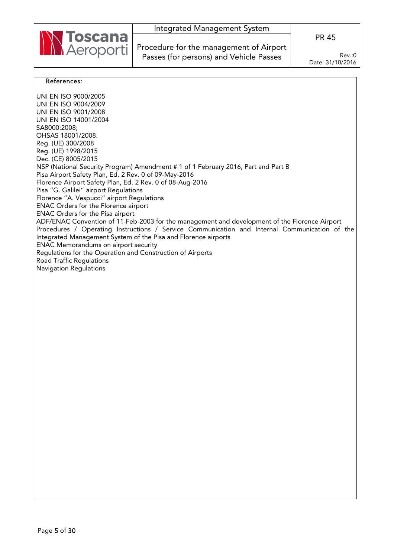

Procedure for the management of Airport Passes (for persons) and Vehicle Passes

Rev.:0 Date: 31/10/2016

#### References:

UNI EN ISO 9000/2005 UNI EN ISO 9004/2009 UNI EN ISO 9001/2008 UNI EN ISO 14001/2004 SA8000:2008; OHSAS 18001/2008. Reg. (UE) 300/2008 Reg. (UE) 1998/2015 Dec. (CE) 8005/2015 NSP (National Security Program) Amendment # 1 of 1 February 2016, Part and Part B Pisa Airport Safety Plan, Ed. 2 Rev. 0 of 09-May-2016 Florence Airport Safety Plan, Ed. 2 Rev. 0 of 08-Aug-2016 Pisa "G. Galilei" airport Regulations Florence "A. Vespucci" airport Regulations ENAC Orders for the Florence airport ENAC Orders for the Pisa airport ADF/ENAC Convention of 11-Feb-2003 for the management and development of the Florence Airport Procedures / Operating Instructions / Service Communication and Internal Communication of the Integrated Management System of the Pisa and Florence airports ENAC Memorandums on airport security Regulations for the Operation and Construction of Airports Road Traffic Regulations Navigation Regulations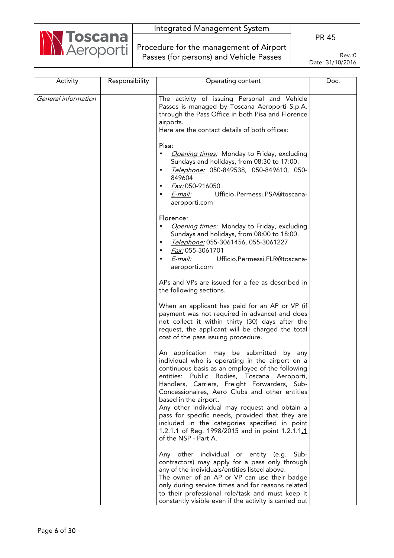

Procedure for the management of Airport Passes (for persons) and Vehicle Passes

PR 45

| Activity            | Responsibility | Operating content                                                                                                                                                                                                                                                                                                                                                                                                                                                                                                                                        | Doc. |
|---------------------|----------------|----------------------------------------------------------------------------------------------------------------------------------------------------------------------------------------------------------------------------------------------------------------------------------------------------------------------------------------------------------------------------------------------------------------------------------------------------------------------------------------------------------------------------------------------------------|------|
| General information |                | The activity of issuing Personal and Vehicle<br>Passes is managed by Toscana Aeroporti S.p.A.<br>through the Pass Office in both Pisa and Florence<br>airports.<br>Here are the contact details of both offices:<br>Pisa:<br>Opening times: Monday to Friday, excluding<br>$\bullet$<br>Sundays and holidays, from 08:30 to 17:00.<br>Telephone: 050-849538, 050-849610, 050-<br>$\bullet$<br>849604<br><i>Fax:</i> 050-916050<br>Ufficio.Permessi.PSA@toscana-<br>E-mail:                                                                               |      |
|                     |                | aeroporti.com<br>Florence:<br>Opening times: Monday to Friday, excluding<br>Sundays and holidays, from 08:00 to 18:00.<br>Telephone: 055-3061456, 055-3061227<br>٠<br>Fax: 055-3061701<br>E-mail:<br>Ufficio.Permessi.FLR@toscana-<br>aeroporti.com                                                                                                                                                                                                                                                                                                      |      |
|                     |                | APs and VPs are issued for a fee as described in<br>the following sections.<br>When an applicant has paid for an AP or VP (if<br>payment was not required in advance) and does<br>not collect it within thirty (30) days after the<br>request, the applicant will be charged the total<br>cost of the pass issuing procedure.                                                                                                                                                                                                                            |      |
|                     |                | An application may be submitted by any<br>individual who is operating in the airport on a<br>continuous basis as an employee of the following<br>entities: Public Bodies, Toscana Aeroporti,<br>Handlers, Carriers, Freight Forwarders, Sub-<br>Concessionaires, Aero Clubs and other entities<br>based in the airport.<br>Any other individual may request and obtain a<br>pass for specific needs, provided that they are<br>included in the categories specified in point<br>1.2.1.1 of Reg. 1998/2015 and in point 1.2.1.1.1<br>of the NSP - Part A. |      |
|                     |                | Any other individual or entity (e.g. Sub-<br>contractors) may apply for a pass only through<br>any of the individuals/entities listed above.<br>The owner of an AP or VP can use their badge<br>only during service times and for reasons related<br>to their professional role/task and must keep it<br>constantly visible even if the activity is carried out                                                                                                                                                                                          |      |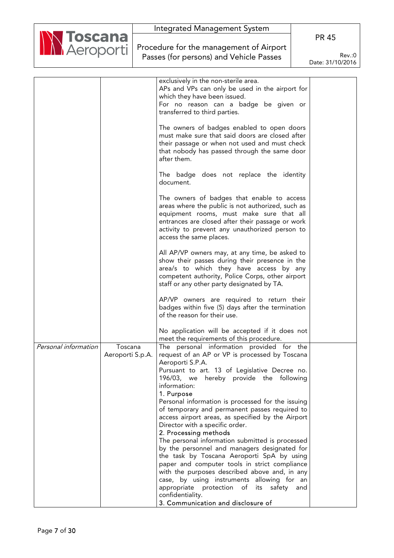|                                        |                  | Integrated Management System                                                                   |                  |
|----------------------------------------|------------------|------------------------------------------------------------------------------------------------|------------------|
| <b>N Toscana</b><br><b>N Aeroporti</b> |                  |                                                                                                | <b>PR 45</b>     |
|                                        |                  | Procedure for the management of Airport                                                        |                  |
|                                        |                  | Passes (for persons) and Vehicle Passes                                                        | Rev.:0           |
|                                        |                  |                                                                                                | Date: 31/10/2016 |
|                                        |                  |                                                                                                |                  |
|                                        |                  | exclusively in the non-sterile area.                                                           |                  |
|                                        |                  | APs and VPs can only be used in the airport for<br>which they have been issued.                |                  |
|                                        |                  | For no reason can a badge be given or                                                          |                  |
|                                        |                  | transferred to third parties.                                                                  |                  |
|                                        |                  | The owners of badges enabled to open doors                                                     |                  |
|                                        |                  | must make sure that said doors are closed after                                                |                  |
|                                        |                  | their passage or when not used and must check                                                  |                  |
|                                        |                  | that nobody has passed through the same door<br>after them.                                    |                  |
|                                        |                  |                                                                                                |                  |
|                                        |                  | The badge does not replace the identity<br>document.                                           |                  |
|                                        |                  | The owners of badges that enable to access                                                     |                  |
|                                        |                  | areas where the public is not authorized, such as                                              |                  |
|                                        |                  | equipment rooms, must make sure that all                                                       |                  |
|                                        |                  | entrances are closed after their passage or work                                               |                  |
|                                        |                  | activity to prevent any unauthorized person to<br>access the same places.                      |                  |
|                                        |                  |                                                                                                |                  |
|                                        |                  | All AP/VP owners may, at any time, be asked to                                                 |                  |
|                                        |                  | show their passes during their presence in the                                                 |                  |
|                                        |                  | area/s to which they have access by any<br>competent authority, Police Corps, other airport    |                  |
|                                        |                  | staff or any other party designated by TA.                                                     |                  |
|                                        |                  | AP/VP owners are required to return their                                                      |                  |
|                                        |                  | badges within five (5) days after the termination                                              |                  |
|                                        |                  | of the reason for their use.                                                                   |                  |
|                                        |                  | No application will be accepted if it does not                                                 |                  |
|                                        |                  | meet the requirements of this procedure.                                                       |                  |
| Personal information                   | Toscana          | The personal information provided for the                                                      |                  |
|                                        | Aeroporti S.p.A. | request of an AP or VP is processed by Toscana                                                 |                  |
|                                        |                  | Aeroporti S.P.A.                                                                               |                  |
|                                        |                  | Pursuant to art. 13 of Legislative Decree no.<br>196/03, we hereby provide the following       |                  |
|                                        |                  | information:                                                                                   |                  |
|                                        |                  | 1. Purpose                                                                                     |                  |
|                                        |                  | Personal information is processed for the issuing                                              |                  |
|                                        |                  | of temporary and permanent passes required to                                                  |                  |
|                                        |                  | access airport areas, as specified by the Airport<br>Director with a specific order.           |                  |
|                                        |                  | 2. Processing methods                                                                          |                  |
|                                        |                  | The personal information submitted is processed                                                |                  |
|                                        |                  | by the personnel and managers designated for                                                   |                  |
|                                        |                  | the task by Toscana Aeroporti SpA by using                                                     |                  |
|                                        |                  | paper and computer tools in strict compliance<br>with the purposes described above and, in any |                  |
|                                        |                  | case, by using instruments allowing for an                                                     |                  |
|                                        |                  | appropriate protection of its safety and                                                       |                  |
|                                        |                  | confidentiality.                                                                               |                  |
|                                        |                  | 3. Communication and disclosure of                                                             |                  |

٦

ľ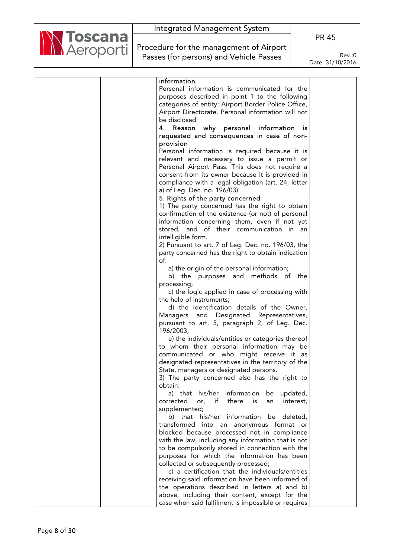

Procedure for the management of Airport Passes (for persons) and Vehicle Passes

PR 45

| information                                              |  |
|----------------------------------------------------------|--|
| Personal information is communicated for the             |  |
| purposes described in point 1 to the following           |  |
| categories of entity: Airport Border Police Office,      |  |
| Airport Directorate. Personal information will not       |  |
| be disclosed.                                            |  |
| Reason why personal information<br>4.<br><b>is</b>       |  |
| requested and consequences in case of non-               |  |
| provision                                                |  |
| Personal information is required because it is           |  |
| relevant and necessary to issue a permit or              |  |
| Personal Airport Pass. This does not require a           |  |
| consent from its owner because it is provided in         |  |
| compliance with a legal obligation (art. 24, letter      |  |
| a) of Leg. Dec. no. 196/03).                             |  |
| 5. Rights of the party concerned                         |  |
| 1) The party concerned has the right to obtain           |  |
| confirmation of the existence (or not) of personal       |  |
| information concerning them, even if not yet             |  |
| stored, and of their communication in an                 |  |
| intelligible form.                                       |  |
| 2) Pursuant to art. 7 of Leg. Dec. no. 196/03, the       |  |
| party concerned has the right to obtain indication       |  |
| of:                                                      |  |
| a) the origin of the personal information;               |  |
| b) the purposes and methods of the                       |  |
| processing;                                              |  |
| c) the logic applied in case of processing with          |  |
| the help of instruments;                                 |  |
| d) the identification details of the Owner,              |  |
| Managers and Designated<br>Representatives,              |  |
| pursuant to art. 5, paragraph 2, of Leg. Dec.            |  |
| 196/2003;                                                |  |
| e) the individuals/entities or categories thereof        |  |
| to whom their personal information may be                |  |
| communicated or who might receive it as                  |  |
| designated representatives in the territory of the       |  |
| State, managers or designated persons.                   |  |
| 3) The party concerned also has the right to             |  |
| obtain:                                                  |  |
| a) that his/her information<br>updated,<br>be            |  |
| corrected<br>or.<br>if<br>there<br>is<br>interest,<br>an |  |
| supplemented;                                            |  |
| b) that his/her information be deleted,                  |  |
| transformed into an anonymous format or                  |  |
| blocked because processed not in compliance              |  |
| with the law, including any information that is not      |  |
| to be compulsorily stored in connection with the         |  |
| purposes for which the information has been              |  |
| collected or subsequently processed;                     |  |
| c) a certification that the individuals/entities         |  |
| receiving said information have been informed of         |  |
| the operations described in letters a) and b)            |  |
| above, including their content, except for the           |  |
| case when said fulfilment is impossible or requires      |  |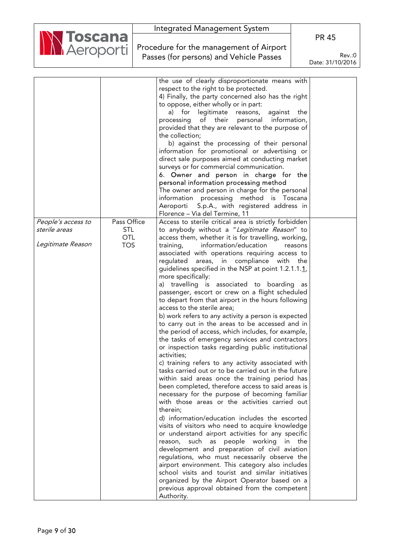| <b>N Toscana</b> | Integrated Management System                                                       | <b>PR 45</b>               |
|------------------|------------------------------------------------------------------------------------|----------------------------|
|                  | Procedure for the management of Airport<br>Passes (for persons) and Vehicle Passes | Rev.:0<br>Date: 31/10/2016 |
|                  |                                                                                    |                            |

|                    |             | the use of clearly disproportionate means with        |  |
|--------------------|-------------|-------------------------------------------------------|--|
|                    |             | respect to the right to be protected.                 |  |
|                    |             | 4) Finally, the party concerned also has the right    |  |
|                    |             | to oppose, either wholly or in part:                  |  |
|                    |             | a) for<br>legitimate<br>against<br>the<br>reasons,    |  |
|                    |             | of their<br>personal information,<br>processing       |  |
|                    |             | provided that they are relevant to the purpose of     |  |
|                    |             | the collection;                                       |  |
|                    |             |                                                       |  |
|                    |             | b) against the processing of their personal           |  |
|                    |             | information for promotional or advertising or         |  |
|                    |             | direct sale purposes aimed at conducting market       |  |
|                    |             | surveys or for commercial communication.              |  |
|                    |             | 6. Owner and person in charge for the                 |  |
|                    |             | personal information processing method                |  |
|                    |             | The owner and person in charge for the personal       |  |
|                    |             | information processing method is Toscana              |  |
|                    |             | S.p.A., with registered address in<br>Aeroporti       |  |
|                    |             | Florence - Via del Termine, 11                        |  |
| People's access to | Pass Office | Access to sterile critical area is strictly forbidden |  |
| sterile areas      | <b>STL</b>  | to anybody without a "Legitimate Reason" to           |  |
|                    | <b>OTL</b>  | access them, whether it is for travelling, working,   |  |
| Legitimate Reason  | <b>TOS</b>  | training,<br>information/education<br>reasons         |  |
|                    |             | associated with operations requiring access to        |  |
|                    |             | areas, in compliance with<br>regulated<br>the         |  |
|                    |             | guidelines specified in the NSP at point 1.2.1.1.1.   |  |
|                    |             | more specifically:                                    |  |
|                    |             | a) travelling is associated to boarding<br>as         |  |
|                    |             | passenger, escort or crew on a flight scheduled       |  |
|                    |             | to depart from that airport in the hours following    |  |
|                    |             | access to the sterile area;                           |  |
|                    |             | b) work refers to any activity a person is expected   |  |
|                    |             | to carry out in the areas to be accessed and in       |  |
|                    |             | the period of access, which includes, for example,    |  |
|                    |             | the tasks of emergency services and contractors       |  |
|                    |             | or inspection tasks regarding public institutional    |  |
|                    |             | activities;                                           |  |
|                    |             | c) training refers to any activity associated with    |  |
|                    |             | tasks carried out or to be carried out in the future  |  |
|                    |             | within said areas once the training period has        |  |
|                    |             | been completed, therefore access to said areas is     |  |
|                    |             | necessary for the purpose of becoming familiar        |  |
|                    |             | with those areas or the activities carried out        |  |
|                    |             | therein;                                              |  |
|                    |             | d) information/education includes the escorted        |  |
|                    |             | visits of visitors who need to acquire knowledge      |  |
|                    |             | or understand airport activities for any specific     |  |
|                    |             | reason, such as people working<br>the<br>in           |  |
|                    |             | development and preparation of civil aviation         |  |
|                    |             | regulations, who must necessarily observe the         |  |
|                    |             | airport environment. This category also includes      |  |
|                    |             | school visits and tourist and similar initiatives     |  |
|                    |             | organized by the Airport Operator based on a          |  |
|                    |             | previous approval obtained from the competent         |  |
|                    |             | Authority.                                            |  |
|                    |             |                                                       |  |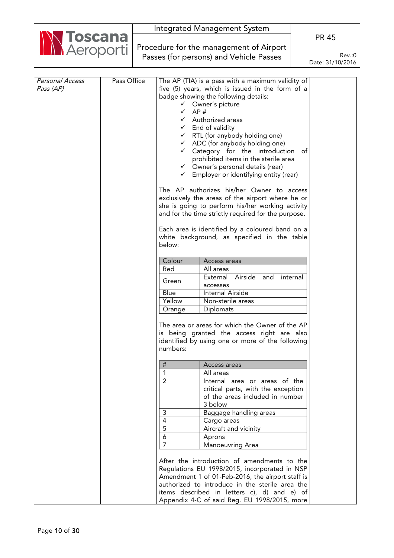| Integrated Management System                       |                            |
|----------------------------------------------------|----------------------------|
|                                                    | <b>PR 45</b>               |
| Marcoporti Procedure for the management of Airport |                            |
| Passes (for persons) and Vehicle Passes            | Rev: 0<br>Data: 31/10/2016 |

Date: 31/10/2016

| Personal Access<br>Pass (AP) | Pass Office | $\checkmark$<br>$\checkmark$<br>AP#<br>$\checkmark$<br>$\checkmark$<br>below:<br>Colour<br>Red<br>Green<br>Blue<br>Yellow<br>Orange<br>numbers: | The AP (TIA) is a pass with a maximum validity of<br>five (5) years, which is issued in the form of a<br>badge showing the following details:<br>Owner's picture<br>Authorized areas<br>End of validity<br>$\checkmark$ RTL (for anybody holding one)<br>$\checkmark$ ADC (for anybody holding one)<br>$\checkmark$ Category for the introduction<br>of<br>prohibited items in the sterile area<br>$\checkmark$ Owner's personal details (rear)<br>Employer or identifying entity (rear)<br>The AP authorizes his/her Owner to access<br>exclusively the areas of the airport where he or<br>she is going to perform his/her working activity<br>and for the time strictly required for the purpose.<br>Each area is identified by a coloured band on a<br>white background, as specified in the table<br>Access areas<br>All areas<br>Airside<br>External<br>and<br>internal<br>accesses<br>Internal Airside<br>Non-sterile areas<br>Diplomats<br>The area or areas for which the Owner of the AP<br>is being granted the access right are also<br>identified by using one or more of the following |  |
|------------------------------|-------------|-------------------------------------------------------------------------------------------------------------------------------------------------|------------------------------------------------------------------------------------------------------------------------------------------------------------------------------------------------------------------------------------------------------------------------------------------------------------------------------------------------------------------------------------------------------------------------------------------------------------------------------------------------------------------------------------------------------------------------------------------------------------------------------------------------------------------------------------------------------------------------------------------------------------------------------------------------------------------------------------------------------------------------------------------------------------------------------------------------------------------------------------------------------------------------------------------------------------------------------------------------------|--|
|                              |             |                                                                                                                                                 |                                                                                                                                                                                                                                                                                                                                                                                                                                                                                                                                                                                                                                                                                                                                                                                                                                                                                                                                                                                                                                                                                                      |  |
|                              |             | #                                                                                                                                               | Access areas                                                                                                                                                                                                                                                                                                                                                                                                                                                                                                                                                                                                                                                                                                                                                                                                                                                                                                                                                                                                                                                                                         |  |
|                              |             | $\overline{2}$                                                                                                                                  | All areas<br>Internal area or areas of the<br>critical parts, with the exception<br>of the areas included in number<br>3 below                                                                                                                                                                                                                                                                                                                                                                                                                                                                                                                                                                                                                                                                                                                                                                                                                                                                                                                                                                       |  |
|                              |             | 3                                                                                                                                               | Baggage handling areas                                                                                                                                                                                                                                                                                                                                                                                                                                                                                                                                                                                                                                                                                                                                                                                                                                                                                                                                                                                                                                                                               |  |
|                              |             | $\overline{4}$                                                                                                                                  | Cargo areas                                                                                                                                                                                                                                                                                                                                                                                                                                                                                                                                                                                                                                                                                                                                                                                                                                                                                                                                                                                                                                                                                          |  |
|                              |             | $\overline{5}$                                                                                                                                  | Aircraft and vicinity                                                                                                                                                                                                                                                                                                                                                                                                                                                                                                                                                                                                                                                                                                                                                                                                                                                                                                                                                                                                                                                                                |  |
|                              |             | $\overline{6}$<br>$\overline{7}$                                                                                                                | Aprons<br>Manoeuvring Area                                                                                                                                                                                                                                                                                                                                                                                                                                                                                                                                                                                                                                                                                                                                                                                                                                                                                                                                                                                                                                                                           |  |
|                              |             |                                                                                                                                                 | After the introduction of amendments to the<br>Regulations EU 1998/2015, incorporated in NSP                                                                                                                                                                                                                                                                                                                                                                                                                                                                                                                                                                                                                                                                                                                                                                                                                                                                                                                                                                                                         |  |
|                              |             |                                                                                                                                                 | Amendment 1 of 01-Feb-2016, the airport staff is                                                                                                                                                                                                                                                                                                                                                                                                                                                                                                                                                                                                                                                                                                                                                                                                                                                                                                                                                                                                                                                     |  |
|                              |             |                                                                                                                                                 | authorized to introduce in the sterile area the                                                                                                                                                                                                                                                                                                                                                                                                                                                                                                                                                                                                                                                                                                                                                                                                                                                                                                                                                                                                                                                      |  |
|                              |             |                                                                                                                                                 | items described in letters c), d) and e) of<br>Appendix 4-C of said Reg. EU 1998/2015, more                                                                                                                                                                                                                                                                                                                                                                                                                                                                                                                                                                                                                                                                                                                                                                                                                                                                                                                                                                                                          |  |
|                              |             |                                                                                                                                                 |                                                                                                                                                                                                                                                                                                                                                                                                                                                                                                                                                                                                                                                                                                                                                                                                                                                                                                                                                                                                                                                                                                      |  |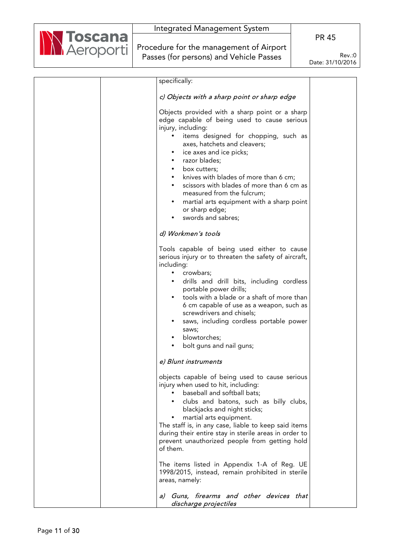

Procedure for the management of Airport Passes (for persons) and Vehicle Passes

| specifically:                                                                                                                                                                                                                                                                                                                                                                                                                                                                                           |  |
|---------------------------------------------------------------------------------------------------------------------------------------------------------------------------------------------------------------------------------------------------------------------------------------------------------------------------------------------------------------------------------------------------------------------------------------------------------------------------------------------------------|--|
| c) Objects with a sharp point or sharp edge                                                                                                                                                                                                                                                                                                                                                                                                                                                             |  |
| Objects provided with a sharp point or a sharp<br>edge capable of being used to cause serious<br>injury, including:<br>items designed for chopping, such as<br>axes, hatchets and cleavers;<br>ice axes and ice picks;<br>razor blades;<br>box cutters;<br>$\bullet$<br>knives with blades of more than 6 cm;<br>$\bullet$<br>scissors with blades of more than 6 cm as<br>$\bullet$<br>measured from the fulcrum;<br>martial arts equipment with a sharp point<br>or sharp edge;<br>swords and sabres; |  |
|                                                                                                                                                                                                                                                                                                                                                                                                                                                                                                         |  |
| d) Workmen's tools                                                                                                                                                                                                                                                                                                                                                                                                                                                                                      |  |
| Tools capable of being used either to cause<br>serious injury or to threaten the safety of aircraft,<br>including:<br>crowbars;<br>$\bullet$<br>drills and drill bits, including cordless<br>$\bullet$<br>portable power drills;<br>tools with a blade or a shaft of more than<br>6 cm capable of use as a weapon, such as<br>screwdrivers and chisels;<br>saws, including cordless portable power<br>$\bullet$<br>saws;<br>blowtorches;<br>$\bullet$<br>bolt guns and nail guns;                       |  |
| e) Blunt instruments                                                                                                                                                                                                                                                                                                                                                                                                                                                                                    |  |
| objects capable of being used to cause serious<br>injury when used to hit, including:<br>baseball and softball bats;<br>clubs and batons, such as billy clubs,<br>blackjacks and night sticks;<br>martial arts equipment.<br>The staff is, in any case, liable to keep said items<br>during their entire stay in sterile areas in order to<br>prevent unauthorized people from getting hold<br>of them.<br>The items listed in Appendix 1-A of Reg. UE                                                  |  |
| 1998/2015, instead, remain prohibited in sterile<br>areas, namely:                                                                                                                                                                                                                                                                                                                                                                                                                                      |  |
| a) Guns, firearms and other devices that<br>discharge projectiles                                                                                                                                                                                                                                                                                                                                                                                                                                       |  |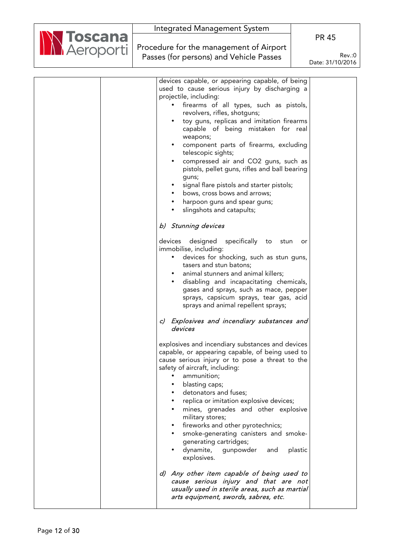

Procedure for the management of Airport Passes (for persons) and Vehicle Passes

PR 45

| devices capable, or appearing capable, of being        |  |
|--------------------------------------------------------|--|
| used to cause serious injury by discharging a          |  |
| projectile, including:                                 |  |
| firearms of all types, such as pistols,<br>$\bullet$   |  |
| revolvers, rifles, shotguns;                           |  |
| toy guns, replicas and imitation firearms<br>$\bullet$ |  |
| capable of being mistaken for real                     |  |
| weapons;                                               |  |
|                                                        |  |
| component parts of firearms, excluding                 |  |
| telescopic sights;                                     |  |
| compressed air and CO2 guns, such as                   |  |
| pistols, pellet guns, rifles and ball bearing          |  |
| guns;                                                  |  |
| signal flare pistols and starter pistols;<br>$\bullet$ |  |
| bows, cross bows and arrows;                           |  |
| harpoon guns and spear guns;                           |  |
|                                                        |  |
| slingshots and catapults;                              |  |
|                                                        |  |
| b) Stunning devices                                    |  |
|                                                        |  |
| specifically to<br>devices designed<br>stun<br>or      |  |
| immobilise, including:                                 |  |
| devices for shocking, such as stun guns,<br>$\bullet$  |  |
| tasers and stun batons;                                |  |
| animal stunners and animal killers;                    |  |
| disabling and incapacitating chemicals,<br>$\bullet$   |  |
| gases and sprays, such as mace, pepper                 |  |
| sprays, capsicum sprays, tear gas, acid                |  |
| sprays and animal repellent sprays;                    |  |
|                                                        |  |
| Explosives and incendiary substances and<br>C)         |  |
| devices                                                |  |
|                                                        |  |
|                                                        |  |
| explosives and incendiary substances and devices       |  |
| capable, or appearing capable, of being used to        |  |
| cause serious injury or to pose a threat to the        |  |
| safety of aircraft, including:                         |  |
| ammunition;                                            |  |
| blasting caps;                                         |  |
| detonators and fuses;                                  |  |
| replica or imitation explosive devices;                |  |
| mines, grenades and other explosive                    |  |
| military stores;                                       |  |
|                                                        |  |
| fireworks and other pyrotechnics;                      |  |
| smoke-generating canisters and smoke-                  |  |
| generating cartridges;                                 |  |
| dynamite,<br>gunpowder<br>plastic<br>and               |  |
| explosives.                                            |  |
|                                                        |  |
| d) Any other item capable of being used to             |  |
| cause serious injury and that are not                  |  |
| usually used in sterile areas, such as martial         |  |
| arts equipment, swords, sabres, etc.                   |  |
|                                                        |  |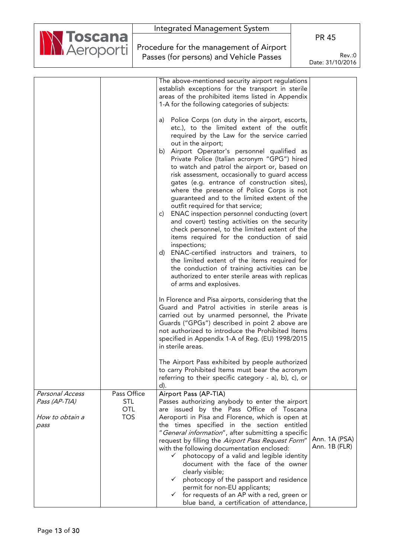|                                        |                           |                                         | Integrated Management System                                                                       |                  |
|----------------------------------------|---------------------------|-----------------------------------------|----------------------------------------------------------------------------------------------------|------------------|
| <b>N Toscana</b><br><b>N</b> Aeroporti |                           |                                         |                                                                                                    | <b>PR 45</b>     |
|                                        |                           | Procedure for the management of Airport |                                                                                                    |                  |
|                                        |                           | Passes (for persons) and Vehicle Passes |                                                                                                    | Rev.:0           |
|                                        |                           |                                         |                                                                                                    | Date: 31/10/2016 |
|                                        |                           |                                         | The above-mentioned security airport regulations                                                   |                  |
|                                        |                           |                                         | establish exceptions for the transport in sterile                                                  |                  |
|                                        |                           |                                         | areas of the prohibited items listed in Appendix                                                   |                  |
|                                        |                           |                                         | 1-A for the following categories of subjects:                                                      |                  |
|                                        |                           |                                         |                                                                                                    |                  |
|                                        |                           |                                         | Police Corps (on duty in the airport, escorts,<br>a)<br>etc.), to the limited extent of the outfit |                  |
|                                        |                           |                                         | required by the Law for the service carried                                                        |                  |
|                                        |                           |                                         | out in the airport;                                                                                |                  |
|                                        |                           |                                         | b) Airport Operator's personnel qualified as                                                       |                  |
|                                        |                           |                                         | Private Police (Italian acronym "GPG") hired<br>to watch and patrol the airport or, based on       |                  |
|                                        |                           |                                         | risk assessment, occasionally to guard access                                                      |                  |
|                                        |                           |                                         | gates (e.g. entrance of construction sites),                                                       |                  |
|                                        |                           |                                         | where the presence of Police Corps is not                                                          |                  |
|                                        |                           |                                         | guaranteed and to the limited extent of the<br>outfit required for that service;                   |                  |
|                                        |                           |                                         | ENAC inspection personnel conducting (overt<br>C)                                                  |                  |
|                                        |                           |                                         | and covert) testing activities on the security                                                     |                  |
|                                        |                           |                                         | check personnel, to the limited extent of the                                                      |                  |
|                                        |                           |                                         | items required for the conduction of said<br>inspections;                                          |                  |
|                                        |                           |                                         | d) ENAC-certified instructors and trainers, to                                                     |                  |
|                                        |                           |                                         | the limited extent of the items required for                                                       |                  |
|                                        |                           |                                         | the conduction of training activities can be                                                       |                  |
|                                        |                           |                                         | authorized to enter sterile areas with replicas<br>of arms and explosives.                         |                  |
|                                        |                           |                                         |                                                                                                    |                  |
|                                        |                           |                                         | In Florence and Pisa airports, considering that the                                                |                  |
|                                        |                           |                                         | Guard and Patrol activities in sterile areas is                                                    |                  |
|                                        |                           |                                         | carried out by unarmed personnel, the Private<br>Guards ("GPGs") described in point 2 above are    |                  |
|                                        |                           |                                         | not authorized to introduce the Prohibited Items                                                   |                  |
|                                        |                           |                                         | specified in Appendix 1-A of Reg. (EU) 1998/2015                                                   |                  |
|                                        |                           |                                         | in sterile areas.                                                                                  |                  |
|                                        |                           |                                         | The Airport Pass exhibited by people authorized                                                    |                  |
|                                        |                           |                                         | to carry Prohibited Items must bear the acronym                                                    |                  |
|                                        |                           |                                         | referring to their specific category - a), b), c), or                                              |                  |
|                                        |                           |                                         | d).                                                                                                |                  |
| Personal Access<br>Pass (AP-TIA)       | Pass Office<br><b>STL</b> |                                         | Airport Pass (AP-TIA)<br>Passes authorizing anybody to enter the airport                           |                  |
|                                        | <b>OTL</b>                |                                         | are issued by the Pass Office of Toscana                                                           |                  |
| How to obtain a                        | <b>TOS</b>                |                                         | Aeroporti in Pisa and Florence, which is open at                                                   |                  |
| pass                                   |                           |                                         | the times specified in the section entitled                                                        |                  |
|                                        |                           |                                         | "General information", after submitting a specific                                                 | Ann. 1A (PSA)    |
|                                        |                           |                                         | request by filling the Airport Pass Request Form"<br>with the following documentation enclosed:    | Ann. 1B (FLR)    |
|                                        |                           |                                         | photocopy of a valid and legible identity<br>✓                                                     |                  |
|                                        |                           |                                         | document with the face of the owner                                                                |                  |
|                                        |                           |                                         | clearly visible;<br>$\checkmark$                                                                   |                  |
|                                        |                           |                                         | photocopy of the passport and residence<br>permit for non-EU applicants;                           |                  |
|                                        |                           |                                         | for requests of an AP with a red, green or<br>✓                                                    |                  |
|                                        |                           |                                         | blue band, a certification of attendance,                                                          |                  |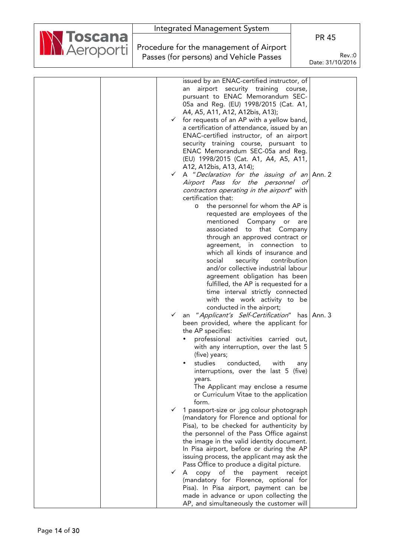|                                        |                                         | integrated Management System                                                   |                  |
|----------------------------------------|-----------------------------------------|--------------------------------------------------------------------------------|------------------|
| <b>N Toscana</b><br><b>N</b> Aeroporti |                                         |                                                                                | <b>PR 45</b>     |
|                                        |                                         | Procedure for the management of Airport                                        |                  |
|                                        | Passes (for persons) and Vehicle Passes |                                                                                | Rev.:0           |
|                                        |                                         |                                                                                | Date: 31/10/2016 |
|                                        |                                         |                                                                                |                  |
|                                        |                                         |                                                                                |                  |
|                                        |                                         | issued by an ENAC-certified instructor, of                                     |                  |
|                                        |                                         | airport security training course,<br>an                                        |                  |
|                                        |                                         | pursuant to ENAC Memorandum SEC-                                               |                  |
|                                        |                                         | 05a and Reg. (EU) 1998/2015 (Cat. A1,                                          |                  |
|                                        |                                         | A4, A5, A11, A12, A12bis, A13);                                                |                  |
|                                        |                                         | $\checkmark$ for requests of an AP with a yellow band,                         |                  |
|                                        |                                         | a certification of attendance, issued by an                                    |                  |
|                                        |                                         | ENAC-certified instructor, of an airport                                       |                  |
|                                        |                                         | security training course, pursuant to                                          |                  |
|                                        |                                         | ENAC Memorandum SEC-05a and Reg.                                               |                  |
|                                        |                                         | (EU) 1998/2015 (Cat. A1, A4, A5, A11,                                          |                  |
|                                        |                                         | A12, A12bis, A13, A14);                                                        |                  |
|                                        |                                         | $\checkmark$ A "Declaration for the issuing of an Ann. 2                       |                  |
|                                        |                                         | Airport Pass for the personnel of                                              |                  |
|                                        |                                         | contractors operating in the airport" with                                     |                  |
|                                        |                                         | certification that:                                                            |                  |
|                                        |                                         | o the personnel for whom the AP is                                             |                  |
|                                        |                                         | requested are employees of the                                                 |                  |
|                                        |                                         | mentioned Company or are                                                       |                  |
|                                        |                                         | associated to that Company                                                     |                  |
|                                        |                                         | through an approved contract or                                                |                  |
|                                        |                                         | agreement, in connection to                                                    |                  |
|                                        |                                         | which all kinds of insurance and                                               |                  |
|                                        |                                         | security contribution<br>social                                                |                  |
|                                        |                                         | and/or collective industrial labour                                            |                  |
|                                        |                                         | agreement obligation has been                                                  |                  |
|                                        |                                         | fulfilled, the AP is requested for a                                           |                  |
|                                        |                                         | time interval strictly connected                                               |                  |
|                                        |                                         | with the work activity to be                                                   |                  |
|                                        |                                         | conducted in the airport;                                                      |                  |
|                                        | $\checkmark$                            | an "Applicant's Self-Certification" has Ann. 3                                 |                  |
|                                        |                                         | been provided, where the applicant for                                         |                  |
|                                        |                                         | the AP specifies:                                                              |                  |
|                                        |                                         |                                                                                |                  |
|                                        |                                         | professional activities carried out,<br>with any interruption, over the last 5 |                  |
|                                        |                                         | (five) years;                                                                  |                  |
|                                        |                                         |                                                                                |                  |
|                                        |                                         | studies<br>conducted,<br>with                                                  | any              |
|                                        |                                         | interruptions, over the last 5 (five)                                          |                  |
|                                        |                                         | years.                                                                         |                  |
|                                        |                                         | The Applicant may enclose a resume                                             |                  |
|                                        |                                         | or Curriculum Vitae to the application<br>form.                                |                  |
|                                        |                                         |                                                                                |                  |
|                                        | $\checkmark$                            | 1 passport-size or .jpg colour photograph                                      |                  |
|                                        |                                         | (mandatory for Florence and optional for                                       |                  |
|                                        |                                         | Pisa), to be checked for authenticity by                                       |                  |
|                                        |                                         | the personnel of the Pass Office against                                       |                  |
|                                        |                                         | the image in the valid identity document.                                      |                  |
|                                        |                                         | In Pisa airport, before or during the AP                                       |                  |
|                                        |                                         | issuing process, the applicant may ask the                                     |                  |
|                                        |                                         | Pass Office to produce a digital picture.                                      |                  |
|                                        | $\checkmark$                            | A copy of the payment receipt                                                  |                  |
|                                        |                                         | (mandatory for Florence, optional for                                          |                  |
|                                        |                                         | Pisa). In Pisa airport, payment can be                                         |                  |
|                                        |                                         | made in advance or upon collecting the                                         |                  |
|                                        |                                         | AP, and simultaneously the customer will                                       |                  |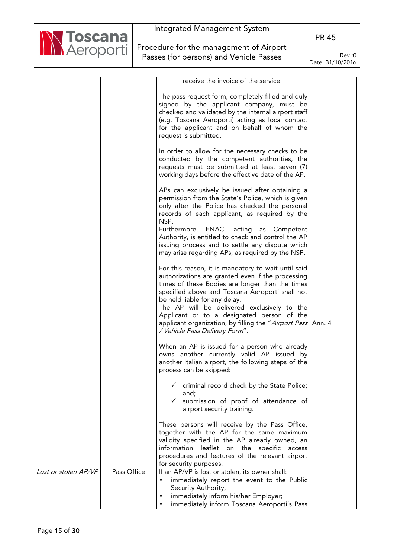

Procedure for the management of Airport Passes (for persons) and Vehicle Passes

PR 45

|                      |             | receive the invoice of the service.                                                                                                                                                                                                                                                                                                                                                                                                                                                                 |  |
|----------------------|-------------|-----------------------------------------------------------------------------------------------------------------------------------------------------------------------------------------------------------------------------------------------------------------------------------------------------------------------------------------------------------------------------------------------------------------------------------------------------------------------------------------------------|--|
|                      |             | The pass request form, completely filled and duly<br>signed by the applicant company, must be<br>checked and validated by the internal airport staff<br>(e.g. Toscana Aeroporti) acting as local contact<br>for the applicant and on behalf of whom the<br>request is submitted.                                                                                                                                                                                                                    |  |
|                      |             | In order to allow for the necessary checks to be<br>conducted by the competent authorities, the<br>requests must be submitted at least seven (7)<br>working days before the effective date of the AP.                                                                                                                                                                                                                                                                                               |  |
|                      |             | APs can exclusively be issued after obtaining a<br>permission from the State's Police, which is given<br>only after the Police has checked the personal<br>records of each applicant, as required by the<br>NSP.<br>Furthermore, ENAC, acting as Competent<br>Authority, is entitled to check and control the AP<br>issuing process and to settle any dispute which                                                                                                                                 |  |
|                      |             | may arise regarding APs, as required by the NSP.<br>For this reason, it is mandatory to wait until said<br>authorizations are granted even if the processing<br>times of these Bodies are longer than the times<br>specified above and Toscana Aeroporti shall not<br>be held liable for any delay.<br>The AP will be delivered exclusively to the<br>Applicant or to a designated person of the<br>applicant organization, by filling the "Airport Pass   Ann. 4<br>/ Vehicle Pass Delivery Form". |  |
|                      |             | When an AP is issued for a person who already<br>owns another currently valid AP issued by<br>another Italian airport, the following steps of the<br>process can be skipped:                                                                                                                                                                                                                                                                                                                        |  |
|                      |             | criminal record check by the State Police;<br>$\checkmark$<br>and;<br>submission of proof of attendance of<br>$\checkmark$<br>airport security training.                                                                                                                                                                                                                                                                                                                                            |  |
|                      |             | These persons will receive by the Pass Office,<br>together with the AP for the same maximum<br>validity specified in the AP already owned, an<br>information leaflet on the specific access<br>procedures and features of the relevant airport<br>for security purposes.                                                                                                                                                                                                                            |  |
| Lost or stolen AP/VP | Pass Office | If an AP/VP is lost or stolen, its owner shall:<br>immediately report the event to the Public<br>$\bullet$<br>Security Authority;<br>immediately inform his/her Employer;<br>$\bullet$<br>immediately inform Toscana Aeroporti's Pass<br>$\bullet$                                                                                                                                                                                                                                                  |  |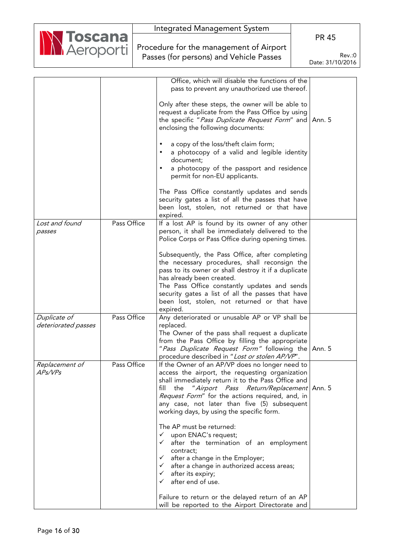| Integrated Management System                          |                            |
|-------------------------------------------------------|----------------------------|
|                                                       | <b>PR 45</b>               |
| Marcoporti<br>Procedure for the management of Airport |                            |
| Passes (for persons) and Vehicle Passes               | Rev.:0<br>Date: 31/10/2016 |

|                     |             | Office, which will disable the functions of the            |        |
|---------------------|-------------|------------------------------------------------------------|--------|
|                     |             | pass to prevent any unauthorized use thereof.              |        |
|                     |             |                                                            |        |
|                     |             | Only after these steps, the owner will be able to          |        |
|                     |             | request a duplicate from the Pass Office by using          |        |
|                     |             | the specific "Pass Duplicate Request Form" and   Ann. 5    |        |
|                     |             | enclosing the following documents:                         |        |
|                     |             | a copy of the loss/theft claim form;                       |        |
|                     |             | a photocopy of a valid and legible identity<br>٠           |        |
|                     |             | document;                                                  |        |
|                     |             | a photocopy of the passport and residence                  |        |
|                     |             | permit for non-EU applicants.                              |        |
|                     |             | The Pass Office constantly updates and sends               |        |
|                     |             | security gates a list of all the passes that have          |        |
|                     |             | been lost, stolen, not returned or that have               |        |
|                     |             | expired.                                                   |        |
| Lost and found      | Pass Office | If a lost AP is found by its owner of any other            |        |
| passes              |             | person, it shall be immediately delivered to the           |        |
|                     |             | Police Corps or Pass Office during opening times.          |        |
|                     |             |                                                            |        |
|                     |             | Subsequently, the Pass Office, after completing            |        |
|                     |             | the necessary procedures, shall reconsign the              |        |
|                     |             | pass to its owner or shall destroy it if a duplicate       |        |
|                     |             | has already been created.                                  |        |
|                     |             | The Pass Office constantly updates and sends               |        |
|                     |             | security gates a list of all the passes that have          |        |
|                     |             | been lost, stolen, not returned or that have               |        |
| Duplicate of        | Pass Office | expired.<br>Any deteriorated or unusable AP or VP shall be |        |
| deteriorated passes |             | replaced.                                                  |        |
|                     |             | The Owner of the pass shall request a duplicate            |        |
|                     |             | from the Pass Office by filling the appropriate            |        |
|                     |             | "Pass Duplicate Request Form" following the                | Ann. 5 |
|                     |             | procedure described in "Lost or stolen AP/VP".             |        |
| Replacement of      | Pass Office | If the Owner of an AP/VP does no longer need to            |        |
| APs/VPs             |             | access the airport, the requesting organization            |        |
|                     |             | shall immediately return it to the Pass Office and         |        |
|                     |             | fill<br>"Airport Pass Return/Replacement   Ann. 5<br>the   |        |
|                     |             | Request Form" for the actions required, and, in            |        |
|                     |             | any case, not later than five (5) subsequent               |        |
|                     |             | working days, by using the specific form.                  |        |
|                     |             | The AP must be returned:                                   |        |
|                     |             | upon ENAC's request;<br>$\checkmark$                       |        |
|                     |             | after the termination of an employment<br>$\checkmark$     |        |
|                     |             | contract;                                                  |        |
|                     |             | after a change in the Employer;<br>$\checkmark$            |        |
|                     |             | after a change in authorized access areas;<br>$\checkmark$ |        |
|                     |             | after its expiry;<br>✓                                     |        |
|                     |             | after end of use.<br>✓                                     |        |
|                     |             | Failure to return or the delayed return of an AP           |        |
|                     |             | will be reported to the Airport Directorate and            |        |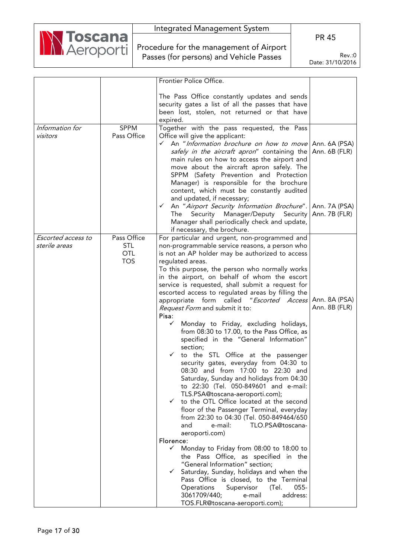

Procedure for the management of Airport Passes (for persons) and Vehicle Passes

PR 45

| Frontier Police Office.                                                            |               |
|------------------------------------------------------------------------------------|---------------|
|                                                                                    |               |
| The Pass Office constantly updates and sends                                       |               |
|                                                                                    |               |
| security gates a list of all the passes that have                                  |               |
| been lost, stolen, not returned or that have                                       |               |
| expired.                                                                           |               |
| <b>SPPM</b><br>Information for<br>Together with the pass requested, the Pass       |               |
| Pass Office<br>visitors<br>Office will give the applicant:                         |               |
| $\checkmark$ An "Information brochure on how to move Ann. 6A (PSA)                 |               |
| safely in the aircraft apron" containing the                                       | Ann. 6B (FLR) |
| main rules on how to access the airport and                                        |               |
| move about the aircraft apron safely. The                                          |               |
| SPPM (Safety Prevention and Protection                                             |               |
|                                                                                    |               |
| Manager) is responsible for the brochure                                           |               |
| content, which must be constantly audited                                          |               |
| and updated, if necessary;                                                         |               |
| √ An "Airport Security Information Brochure".   Ann. 7A (PSA)                      |               |
| The Security Manager/Deputy Security   Ann. 7B (FLR)                               |               |
| Manager shall periodically check and update,                                       |               |
| if necessary, the brochure.                                                        |               |
| Pass Office<br>Escorted access to<br>For particular and urgent, non-programmed and |               |
| <b>STL</b><br>sterile areas<br>non-programmable service reasons, a person who      |               |
| <b>OTL</b><br>is not an AP holder may be authorized to access                      |               |
| <b>TOS</b><br>regulated areas.                                                     |               |
| To this purpose, the person who normally works                                     |               |
| in the airport, on behalf of whom the escort                                       |               |
| service is requested, shall submit a request for                                   |               |
| escorted access to regulated areas by filling the                                  |               |
| appropriate form called "Escorted Access                                           | Ann. 8A (PSA) |
| <i>Request Form</i> and submit it to:                                              | Ann. 8B (FLR) |
| Pisa:                                                                              |               |
| Monday to Friday, excluding holidays,<br>✓                                         |               |
| from 08:30 to 17.00, to the Pass Office, as                                        |               |
|                                                                                    |               |
| specified in the "General Information"                                             |               |
| section;                                                                           |               |
| to the STL Office at the passenger                                                 |               |
| security gates, everyday from 04:30 to                                             |               |
| 08:30 and from 17:00 to 22:30 and                                                  |               |
| Saturday, Sunday and holidays from 04:30                                           |               |
| to 22:30 (Tel. 050-849601 and e-mail:                                              |               |
| TLS.PSA@toscana-aeroporti.com);                                                    |               |
| to the OTL Office located at the second                                            |               |
| floor of the Passenger Terminal, everyday                                          |               |
| from 22:30 to 04:30 (Tel. 050-849464/650                                           |               |
| TLO.PSA@toscana-<br>and<br>e-mail:                                                 |               |
| aeroporti.com)                                                                     |               |
| Florence:                                                                          |               |
| $\checkmark$<br>Monday to Friday from 08:00 to 18:00 to                            |               |
| the Pass Office, as specified in the                                               |               |
| "General Information" section;                                                     |               |
| Saturday, Sunday, holidays and when the<br>✓                                       |               |
| Pass Office is closed, to the Terminal                                             |               |
| Operations<br>(Tel.<br>$055 -$<br>Supervisor                                       |               |
| 3061709/440;<br>address:<br>e-mail                                                 |               |
| TOS.FLR@toscana-aeroporti.com);                                                    |               |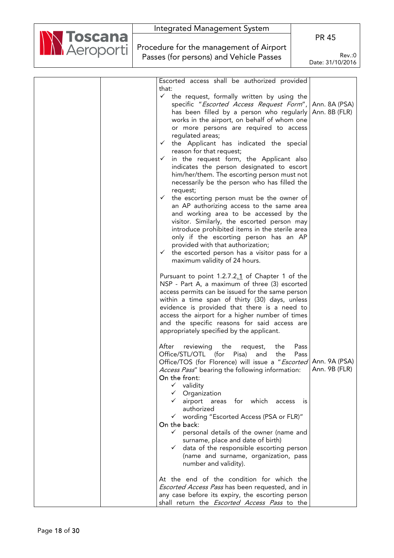| <u>ioscana</u>     | <b>PR 45</b>                                                                                                                                                                                                                                                                                                                                                                                                                                                                                                                                                                                                                                                                                                                                                                                                                                                                                                                                                                                                                                                                                                                                                                                                                                                                                                                                                                                                                                                                                                                                                                                                                                                                                                                                                                                                                                                                                                                                                                                                                                                                                                                                                                                                            |
|--------------------|-------------------------------------------------------------------------------------------------------------------------------------------------------------------------------------------------------------------------------------------------------------------------------------------------------------------------------------------------------------------------------------------------------------------------------------------------------------------------------------------------------------------------------------------------------------------------------------------------------------------------------------------------------------------------------------------------------------------------------------------------------------------------------------------------------------------------------------------------------------------------------------------------------------------------------------------------------------------------------------------------------------------------------------------------------------------------------------------------------------------------------------------------------------------------------------------------------------------------------------------------------------------------------------------------------------------------------------------------------------------------------------------------------------------------------------------------------------------------------------------------------------------------------------------------------------------------------------------------------------------------------------------------------------------------------------------------------------------------------------------------------------------------------------------------------------------------------------------------------------------------------------------------------------------------------------------------------------------------------------------------------------------------------------------------------------------------------------------------------------------------------------------------------------------------------------------------------------------------|
| <b>N</b> Aeroporti | Procedure for the management of Airport<br>Rev.:0<br>Passes (for persons) and Vehicle Passes<br>Date: 31/10/2016                                                                                                                                                                                                                                                                                                                                                                                                                                                                                                                                                                                                                                                                                                                                                                                                                                                                                                                                                                                                                                                                                                                                                                                                                                                                                                                                                                                                                                                                                                                                                                                                                                                                                                                                                                                                                                                                                                                                                                                                                                                                                                        |
|                    | Escorted access shall be authorized provided<br>that:<br>$\checkmark$<br>the request, formally written by using the<br>specific "Escorted Access Request Form",<br>Ann. 8A (PSA)<br>has been filled by a person who regularly<br>Ann. 8B (FLR)<br>works in the airport, on behalf of whom one<br>or more persons are required to access<br>regulated areas;<br>the Applicant has indicated the special<br>$\checkmark$<br>reason for that request;<br>$\checkmark$ in the request form, the Applicant also<br>indicates the person designated to escort<br>him/her/them. The escorting person must not<br>necessarily be the person who has filled the<br>request;<br>$\checkmark$ the escorting person must be the owner of<br>an AP authorizing access to the same area<br>and working area to be accessed by the<br>visitor. Similarly, the escorted person may<br>introduce prohibited items in the sterile area<br>only if the escorting person has an AP<br>provided with that authorization;<br>$\checkmark$<br>the escorted person has a visitor pass for a<br>maximum validity of 24 hours.<br>Pursuant to point 1.2.7.2.1 of Chapter 1 of the<br>NSP - Part A, a maximum of three (3) escorted<br>access permits can be issued for the same person<br>within a time span of thirty (30) days, unless<br>evidence is provided that there is a need to<br>access the airport for a higher number of times<br>and the specific reasons for said access are<br>appropriately specified by the applicant.<br>After<br>reviewing the request,<br>Pass<br>the<br>Office/STL/OTL (for Pisa) and<br>Pass<br>the<br>Office/TOS (for Florence) will issue a "Escorted Ann. 9A (PSA)<br>Ann. 9B (FLR)<br>Access Pass" bearing the following information:<br>On the front:<br>$\checkmark$ validity<br>$\checkmark$ Organization<br>airport areas for which access is<br>authorized<br>√ wording "Escorted Access (PSA or FLR)"<br>On the back:<br>personal details of the owner (name and<br>$\checkmark$<br>surname, place and date of birth)<br>data of the responsible escorting person<br>$\checkmark$<br>(name and surname, organization, pass<br>number and validity).<br>At the end of the condition for which the |
|                    | <b>Escorted Access Pass has been requested, and in</b><br>any case before its expiry, the escorting person<br>shall return the <i>Escorted Access Pass</i> to the                                                                                                                                                                                                                                                                                                                                                                                                                                                                                                                                                                                                                                                                                                                                                                                                                                                                                                                                                                                                                                                                                                                                                                                                                                                                                                                                                                                                                                                                                                                                                                                                                                                                                                                                                                                                                                                                                                                                                                                                                                                       |

 $\mathbf{r}$ 

 $\sim$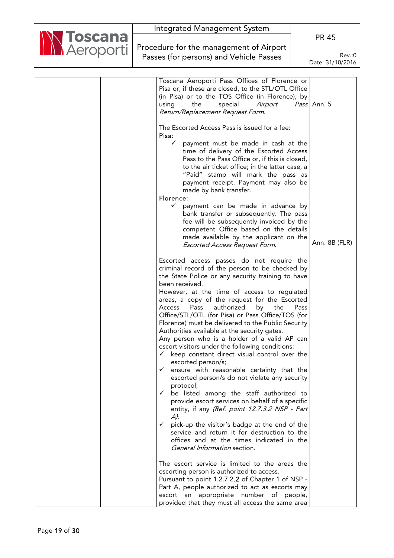|                   |  |                                         | Integrated Management System                                                                               |      |                            |
|-------------------|--|-----------------------------------------|------------------------------------------------------------------------------------------------------------|------|----------------------------|
| <b>NN Toscana</b> |  |                                         |                                                                                                            |      | <b>PR 45</b>               |
|                   |  |                                         | Procedure for the management of Airport                                                                    |      |                            |
|                   |  | Passes (for persons) and Vehicle Passes |                                                                                                            |      | Rev.:0<br>Date: 31/10/2016 |
|                   |  |                                         |                                                                                                            |      |                            |
|                   |  |                                         | Toscana Aeroporti Pass Offices of Florence or                                                              |      |                            |
|                   |  |                                         | Pisa or, if these are closed, to the STL/OTL Office                                                        |      |                            |
|                   |  |                                         | (in Pisa) or to the TOS Office (in Florence), by                                                           |      |                            |
|                   |  |                                         | Airport<br>the<br>special<br>using                                                                         |      | Pass Ann. 5                |
|                   |  |                                         | Return/Replacement Request Form.                                                                           |      |                            |
|                   |  |                                         | The Escorted Access Pass is issued for a fee:<br>Pisa:                                                     |      |                            |
|                   |  |                                         | $\checkmark$<br>payment must be made in cash at the                                                        |      |                            |
|                   |  |                                         | time of delivery of the Escorted Access                                                                    |      |                            |
|                   |  |                                         | Pass to the Pass Office or, if this is closed,                                                             |      |                            |
|                   |  |                                         | to the air ticket office; in the latter case, a<br>"Paid" stamp will mark the pass as                      |      |                            |
|                   |  |                                         | payment receipt. Payment may also be                                                                       |      |                            |
|                   |  |                                         | made by bank transfer.                                                                                     |      |                            |
|                   |  |                                         | Florence:                                                                                                  |      |                            |
|                   |  |                                         | $\checkmark$<br>payment can be made in advance by                                                          |      |                            |
|                   |  |                                         | bank transfer or subsequently. The pass<br>fee will be subsequently invoiced by the                        |      |                            |
|                   |  |                                         | competent Office based on the details                                                                      |      |                            |
|                   |  |                                         | made available by the applicant on the                                                                     |      |                            |
|                   |  |                                         | Escorted Access Request Form.                                                                              |      | Ann. 8B (FLR)              |
|                   |  |                                         | Escorted access passes do not require the                                                                  |      |                            |
|                   |  |                                         | criminal record of the person to be checked by                                                             |      |                            |
|                   |  |                                         | the State Police or any security training to have<br>been received.                                        |      |                            |
|                   |  |                                         | However, at the time of access to regulated                                                                |      |                            |
|                   |  |                                         | areas, a copy of the request for the Escorted                                                              |      |                            |
|                   |  |                                         | Access<br>Pass<br>authorized<br>by<br>the                                                                  | Pass |                            |
|                   |  |                                         | Office/STL/OTL (for Pisa) or Pass Office/TOS (for<br>Florence) must be delivered to the Public Security    |      |                            |
|                   |  |                                         | Authorities available at the security gates.                                                               |      |                            |
|                   |  |                                         | Any person who is a holder of a valid AP can                                                               |      |                            |
|                   |  |                                         | escort visitors under the following conditions:                                                            |      |                            |
|                   |  |                                         | $\checkmark$<br>keep constant direct visual control over the                                               |      |                            |
|                   |  |                                         | escorted person/s;<br>$\checkmark$ ensure with reasonable certainty that the                               |      |                            |
|                   |  |                                         | escorted person/s do not violate any security                                                              |      |                            |
|                   |  |                                         | protocol;                                                                                                  |      |                            |
|                   |  |                                         | $\checkmark$<br>be listed among the staff authorized to<br>provide escort services on behalf of a specific |      |                            |
|                   |  |                                         | entity, if any (Ref. point 12.7.3.2 NSP - Part                                                             |      |                            |
|                   |  |                                         | $A$ );                                                                                                     |      |                            |
|                   |  |                                         | $\checkmark$ pick-up the visitor's badge at the end of the                                                 |      |                            |
|                   |  |                                         | service and return it for destruction to the                                                               |      |                            |
|                   |  |                                         | offices and at the times indicated in the<br>General Information section.                                  |      |                            |
|                   |  |                                         |                                                                                                            |      |                            |
|                   |  |                                         | The escort service is limited to the areas the                                                             |      |                            |
|                   |  |                                         | escorting person is authorized to access.<br>Pursuant to point 1.2.7.2.2 of Chapter 1 of NSP -             |      |                            |
|                   |  |                                         | Part A, people authorized to act as escorts may                                                            |      |                            |
|                   |  |                                         | escort an appropriate number of people,                                                                    |      |                            |
|                   |  |                                         | provided that they must all access the same area                                                           |      |                            |

٦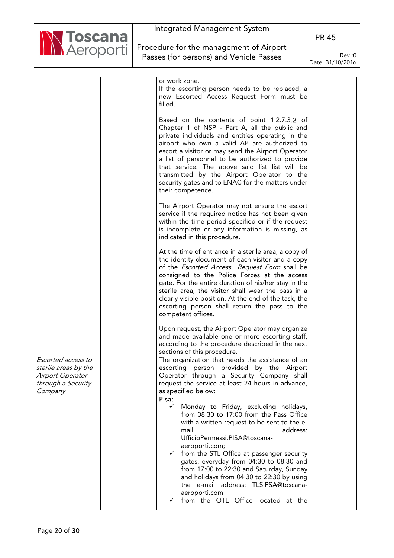

Procedure for the management of Airport Passes (for persons) and Vehicle Passes

PR 45

|                                                                                                 | or work zone.<br>If the escorting person needs to be replaced, a<br>new Escorted Access Request Form must be<br>filled.                                                                                                                                                                                                                                                                                                                                                            |  |
|-------------------------------------------------------------------------------------------------|------------------------------------------------------------------------------------------------------------------------------------------------------------------------------------------------------------------------------------------------------------------------------------------------------------------------------------------------------------------------------------------------------------------------------------------------------------------------------------|--|
|                                                                                                 | Based on the contents of point 1.2.7.3.2 of<br>Chapter 1 of NSP - Part A, all the public and<br>private individuals and entities operating in the<br>airport who own a valid AP are authorized to<br>escort a visitor or may send the Airport Operator<br>a list of personnel to be authorized to provide<br>that service. The above said list list will be<br>transmitted by the Airport Operator to the<br>security gates and to ENAC for the matters under<br>their competence. |  |
|                                                                                                 | The Airport Operator may not ensure the escort<br>service if the required notice has not been given<br>within the time period specified or if the request<br>is incomplete or any information is missing, as<br>indicated in this procedure.                                                                                                                                                                                                                                       |  |
|                                                                                                 | At the time of entrance in a sterile area, a copy of<br>the identity document of each visitor and a copy<br>of the <i>Escorted Access</i> Request Form shall be<br>consigned to the Police Forces at the access<br>gate. For the entire duration of his/her stay in the<br>sterile area, the visitor shall wear the pass in a<br>clearly visible position. At the end of the task, the<br>escorting person shall return the pass to the<br>competent offices.                      |  |
|                                                                                                 | Upon request, the Airport Operator may organize<br>and made available one or more escorting staff,<br>according to the procedure described in the next<br>sections of this procedure.                                                                                                                                                                                                                                                                                              |  |
| Escorted access to<br>sterile areas by the<br>Airport Operator<br>through a Security<br>Company | The organization that needs the assistance of an<br>escorting person provided by the Airport<br>Operator through a Security Company shall<br>request the service at least 24 hours in advance,<br>as specified below:<br>Pisa:<br>Monday to Friday, excluding holidays,<br>✓<br>from 08:30 to 17:00 from the Pass Office<br>with a written request to be sent to the e-<br>address:<br>mail<br>UfficioPermessi.PISA@toscana-                                                       |  |
|                                                                                                 | aeroporti.com;<br>$\checkmark$ from the STL Office at passenger security<br>gates, everyday from 04:30 to 08:30 and<br>from 17:00 to 22:30 and Saturday, Sunday<br>and holidays from 04:30 to 22:30 by using<br>the e-mail address: TLS.PSA@toscana-<br>aeroporti.com<br>$\checkmark$ from the OTL Office located at the                                                                                                                                                           |  |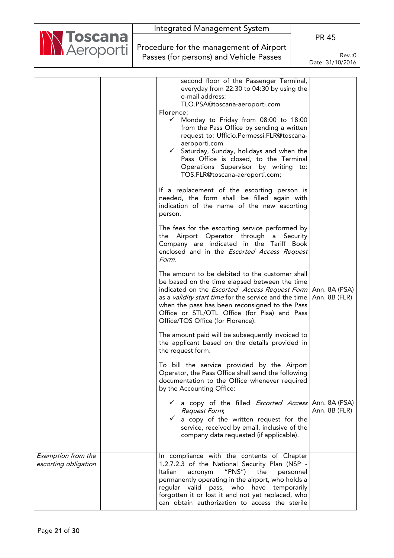| <b>N Toscana</b><br><b>N</b> Aeroporti |
|----------------------------------------|

Procedure for the management of Airport Passes (for persons) and Vehicle Passes

PR 45

|                                            | second floor of the Passenger Terminal,<br>everyday from 22:30 to 04:30 by using the<br>e-mail address:<br>TLO.PSA@toscana-aeroporti.com<br>Florence:<br>✓<br>Monday to Friday from 08:00 to 18:00<br>from the Pass Office by sending a written<br>request to: Ufficio.Permessi.FLR@toscana-<br>aeroporti.com<br>Saturday, Sunday, holidays and when the<br>$\checkmark$<br>Pass Office is closed, to the Terminal<br>Operations Supervisor by writing<br>to:<br>TOS.FLR@toscana-aeroporti.com;<br>If a replacement of the escorting person is<br>needed, the form shall be filled again with<br>indication of the name of the new escorting<br>person.<br>The fees for the escorting service performed by<br>Airport Operator through<br>a Security<br>the<br>Company are indicated in the Tariff Book<br>enclosed and in the <i>Escorted Access Request</i><br>Form.<br>The amount to be debited to the customer shall<br>be based on the time elapsed between the time<br>indicated on the <i>Escorted Access Request Form</i>   Ann. 8A (PSA)<br>as a <i>validity start time</i> for the service and the time   Ann. 8B (FLR)<br>when the pass has been reconsigned to the Pass<br>Office or STL/OTL Office (for Pisa) and Pass<br>Office/TOS Office (for Florence).<br>The amount paid will be subsequently invoiced to<br>the applicant based on the details provided in<br>the request form.<br>To bill the service provided by the Airport<br>Operator, the Pass Office shall send the following<br>documentation to the Office whenever required<br>by the Accounting Office:<br>a copy of the filled <i>Escorted Access</i> Ann. 8A (PSA)<br>Request Form;<br>a copy of the written request for the<br>✓<br>service, received by email, inclusive of the<br>company data requested (if applicable). | Ann. 8B (FLR) |
|--------------------------------------------|---------------------------------------------------------------------------------------------------------------------------------------------------------------------------------------------------------------------------------------------------------------------------------------------------------------------------------------------------------------------------------------------------------------------------------------------------------------------------------------------------------------------------------------------------------------------------------------------------------------------------------------------------------------------------------------------------------------------------------------------------------------------------------------------------------------------------------------------------------------------------------------------------------------------------------------------------------------------------------------------------------------------------------------------------------------------------------------------------------------------------------------------------------------------------------------------------------------------------------------------------------------------------------------------------------------------------------------------------------------------------------------------------------------------------------------------------------------------------------------------------------------------------------------------------------------------------------------------------------------------------------------------------------------------------------------------------------------------------------------------------------------------------------------------------------------|---------------|
| Exemption from the<br>escorting obligation | In compliance with the contents of Chapter<br>1.2.7.2.3 of the National Security Plan (NSP -<br>Italian<br>"PNS"<br>acronym<br>the<br>personnel<br>permanently operating in the airport, who holds a<br>regular valid pass, who have temporarily<br>forgotten it or lost it and not yet replaced, who<br>can obtain authorization to access the sterile                                                                                                                                                                                                                                                                                                                                                                                                                                                                                                                                                                                                                                                                                                                                                                                                                                                                                                                                                                                                                                                                                                                                                                                                                                                                                                                                                                                                                                                       |               |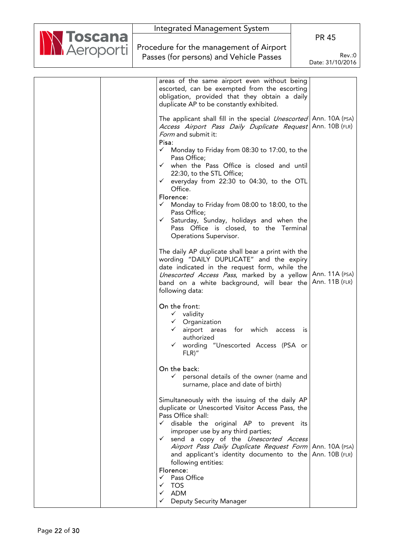|                                        | Integrated Management System                                                                        |                  |
|----------------------------------------|-----------------------------------------------------------------------------------------------------|------------------|
| <b>N Toscana</b><br><b>N</b> Aeroporti |                                                                                                     | <b>PR 45</b>     |
|                                        | Procedure for the management of Airport                                                             |                  |
|                                        | Passes (for persons) and Vehicle Passes                                                             | Rev.:0           |
|                                        |                                                                                                     | Date: 31/10/2016 |
|                                        |                                                                                                     |                  |
|                                        | areas of the same airport even without being                                                        |                  |
|                                        | escorted, can be exempted from the escorting                                                        |                  |
|                                        | obligation, provided that they obtain a daily                                                       |                  |
|                                        | duplicate AP to be constantly exhibited.                                                            |                  |
|                                        |                                                                                                     |                  |
|                                        | The applicant shall fill in the special <i>Unescorted</i>   Ann. 10A (PSA)                          |                  |
|                                        | Access Airport Pass Daily Duplicate Request Ann. 10B (FLR)                                          |                  |
|                                        | Form and submit it:<br>Pisa:                                                                        |                  |
|                                        | $\checkmark$ Monday to Friday from 08:30 to 17:00, to the                                           |                  |
|                                        | Pass Office;                                                                                        |                  |
|                                        | when the Pass Office is closed and until<br>$\checkmark$                                            |                  |
|                                        | 22:30, to the STL Office;                                                                           |                  |
|                                        | everyday from 22:30 to 04:30, to the OTL<br>✓                                                       |                  |
|                                        | Office.                                                                                             |                  |
|                                        | Florence:<br>$\checkmark$ Monday to Friday from 08:00 to 18:00, to the                              |                  |
|                                        | Pass Office;                                                                                        |                  |
|                                        | Saturday, Sunday, holidays and when the<br>$\checkmark$                                             |                  |
|                                        | Pass Office is closed, to the Terminal                                                              |                  |
|                                        | Operations Supervisor.                                                                              |                  |
|                                        |                                                                                                     |                  |
|                                        | The daily AP duplicate shall bear a print with the                                                  |                  |
|                                        | wording "DAILY DUPLICATE" and the expiry                                                            |                  |
|                                        | date indicated in the request form, while the<br>Unescorted Access Pass, marked by a yellow         | Ann. 11A (PSA)   |
|                                        | band on a white background, will bear the                                                           | Ann. 11B (FLR)   |
|                                        | following data:                                                                                     |                  |
|                                        |                                                                                                     |                  |
|                                        | On the front:                                                                                       |                  |
|                                        | $\checkmark$ validity                                                                               |                  |
|                                        | $\checkmark$ Organization                                                                           |                  |
|                                        | airport areas<br>for which<br>access<br>authorized                                                  | IS               |
|                                        | wording "Unescorted Access (PSA or                                                                  |                  |
|                                        | $FLR$ "                                                                                             |                  |
|                                        |                                                                                                     |                  |
|                                        | On the back:                                                                                        |                  |
|                                        | $\checkmark$ personal details of the owner (name and                                                |                  |
|                                        | surname, place and date of birth)                                                                   |                  |
|                                        |                                                                                                     |                  |
|                                        | Simultaneously with the issuing of the daily AP<br>duplicate or Unescorted Visitor Access Pass, the |                  |
|                                        | Pass Office shall:                                                                                  |                  |
|                                        | $\checkmark$ disable the original AP to prevent its                                                 |                  |
|                                        | improper use by any third parties;                                                                  |                  |
|                                        | v send a copy of the <i>Unescorted Access</i>                                                       |                  |
|                                        | Airport Pass Daily Duplicate Request Form Ann. 10A (PSA)                                            |                  |
|                                        | and applicant's identity documento to the $\Delta n$ nn. 10B (FLR)                                  |                  |
|                                        | following entities:<br>Florence:                                                                    |                  |
|                                        | $\checkmark$ Pass Office                                                                            |                  |
|                                        | <b>TOS</b><br>✓                                                                                     |                  |
|                                        | <b>ADM</b><br>✓                                                                                     |                  |
|                                        | <b>Deputy Security Manager</b><br>✓                                                                 |                  |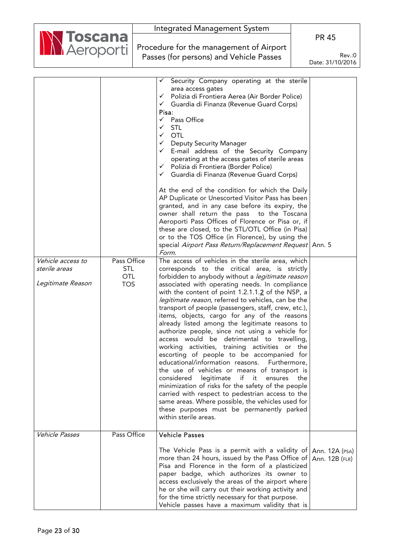|                                    |                                         |                                         | Integrated Management System                                                                                                                                                                                                                                                                                                                                                                                                                                                                                                                                                                                                                                                                                                                                                                                                                                                                                                                                                                                                                                                                                                                                |     |                                  |
|------------------------------------|-----------------------------------------|-----------------------------------------|-------------------------------------------------------------------------------------------------------------------------------------------------------------------------------------------------------------------------------------------------------------------------------------------------------------------------------------------------------------------------------------------------------------------------------------------------------------------------------------------------------------------------------------------------------------------------------------------------------------------------------------------------------------------------------------------------------------------------------------------------------------------------------------------------------------------------------------------------------------------------------------------------------------------------------------------------------------------------------------------------------------------------------------------------------------------------------------------------------------------------------------------------------------|-----|----------------------------------|
| <b>NN Toscana</b>                  |                                         |                                         |                                                                                                                                                                                                                                                                                                                                                                                                                                                                                                                                                                                                                                                                                                                                                                                                                                                                                                                                                                                                                                                                                                                                                             |     | <b>PR 45</b>                     |
|                                    |                                         |                                         | Procedure for the management of Airport                                                                                                                                                                                                                                                                                                                                                                                                                                                                                                                                                                                                                                                                                                                                                                                                                                                                                                                                                                                                                                                                                                                     |     |                                  |
|                                    |                                         | Passes (for persons) and Vehicle Passes |                                                                                                                                                                                                                                                                                                                                                                                                                                                                                                                                                                                                                                                                                                                                                                                                                                                                                                                                                                                                                                                                                                                                                             |     | Rev.:0                           |
|                                    |                                         |                                         |                                                                                                                                                                                                                                                                                                                                                                                                                                                                                                                                                                                                                                                                                                                                                                                                                                                                                                                                                                                                                                                                                                                                                             |     | Date: 31/10/2016                 |
|                                    |                                         |                                         |                                                                                                                                                                                                                                                                                                                                                                                                                                                                                                                                                                                                                                                                                                                                                                                                                                                                                                                                                                                                                                                                                                                                                             |     |                                  |
| Vehicle access to<br>sterile areas | Pass Office<br><b>STL</b><br><b>OTL</b> |                                         | Security Company operating at the sterile<br>area access gates<br>Polizia di Frontiera Aerea (Air Border Police)<br>✓<br>$\checkmark$<br>Guardia di Finanza (Revenue Guard Corps)<br>Pisa:<br>Pass Office<br>$\checkmark$<br><b>STL</b><br>✓<br><b>OTL</b><br>$\checkmark$<br><b>Deputy Security Manager</b><br>$\checkmark$<br>E-mail address of the Security Company<br>$\checkmark$<br>operating at the access gates of sterile areas<br>Polizia di Frontiera (Border Police)<br>✓<br>Guardia di Finanza (Revenue Guard Corps)<br>$\checkmark$<br>At the end of the condition for which the Daily<br>AP Duplicate or Unescorted Visitor Pass has been<br>granted, and in any case before its expiry, the<br>owner shall return the pass to the Toscana<br>Aeroporti Pass Offices of Florence or Pisa or, if<br>these are closed, to the STL/OTL Office (in Pisa)<br>or to the TOS Office (in Florence), by using the<br>special Airport Pass Return/Replacement Request Ann. 5<br>Form.<br>The access of vehicles in the sterile area, which<br>corresponds to the critical area, is strictly<br>forbidden to anybody without a <i>legitimate reason</i> |     |                                  |
| Legitimate Reason                  | <b>TOS</b>                              |                                         | associated with operating needs. In compliance<br>with the content of point $1.2.1.1.\overline{2}$ of the NSP, a<br>legitimate reason, referred to vehicles, can be the<br>transport of people (passengers, staff, crew, etc.),<br>items, objects, cargo for any of the reasons<br>already listed among the legitimate reasons to<br>authorize people, since not using a vehicle for<br>access would be detrimental to travelling,<br>working activities, training activities or the<br>escorting of people to be accompanied for<br>educational/information reasons.<br>Furthermore,<br>the use of vehicles or means of transport is<br>legitimate<br>if it<br>considered<br>ensures<br>minimization of risks for the safety of the people<br>carried with respect to pedestrian access to the<br>same areas. Where possible, the vehicles used for<br>these purposes must be permanently parked<br>within sterile areas.                                                                                                                                                                                                                                  | the |                                  |
| Vehicle Passes                     | Pass Office                             |                                         | <b>Vehicle Passes</b><br>The Vehicle Pass is a permit with a validity of<br>more than 24 hours, issued by the Pass Office of<br>Pisa and Florence in the form of a plasticized<br>paper badge, which authorizes its owner to<br>access exclusively the areas of the airport where<br>he or she will carry out their working activity and                                                                                                                                                                                                                                                                                                                                                                                                                                                                                                                                                                                                                                                                                                                                                                                                                    |     | Ann. 12A (PSA)<br>Ann. 12B (FLR) |
|                                    |                                         |                                         | for the time strictly necessary for that purpose.<br>Vehicle passes have a maximum validity that is                                                                                                                                                                                                                                                                                                                                                                                                                                                                                                                                                                                                                                                                                                                                                                                                                                                                                                                                                                                                                                                         |     |                                  |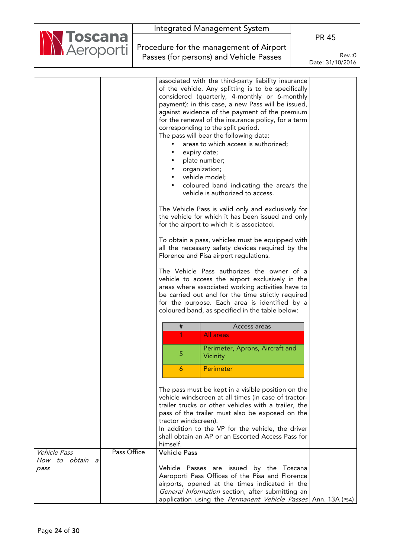

Procedure for the management of Airport Passes (for persons) and Vehicle Passes

PR 45

|                             | associated with the third-party liability insurance                                                |  |
|-----------------------------|----------------------------------------------------------------------------------------------------|--|
|                             | of the vehicle. Any splitting is to be specifically                                                |  |
|                             | considered (quarterly, 4-monthly or 6-monthly                                                      |  |
|                             | payment): in this case, a new Pass will be issued,                                                 |  |
|                             | against evidence of the payment of the premium                                                     |  |
|                             | for the renewal of the insurance policy, for a term                                                |  |
|                             | corresponding to the split period.                                                                 |  |
|                             | The pass will bear the following data:                                                             |  |
|                             | areas to which access is authorized;                                                               |  |
|                             | expiry date;                                                                                       |  |
|                             | plate number;                                                                                      |  |
|                             | organization;                                                                                      |  |
|                             | vehicle model;                                                                                     |  |
|                             | coloured band indicating the area/s the                                                            |  |
|                             | vehicle is authorized to access.                                                                   |  |
|                             | The Vehicle Pass is valid only and exclusively for                                                 |  |
|                             | the vehicle for which it has been issued and only                                                  |  |
|                             | for the airport to which it is associated.                                                         |  |
|                             | To obtain a pass, vehicles must be equipped with                                                   |  |
|                             | all the necessary safety devices required by the                                                   |  |
|                             | Florence and Pisa airport regulations.                                                             |  |
|                             | The Vehicle Pass authorizes the owner of a                                                         |  |
|                             | vehicle to access the airport exclusively in the                                                   |  |
|                             | areas where associated working activities have to                                                  |  |
|                             | be carried out and for the time strictly required                                                  |  |
|                             | for the purpose. Each area is identified by a                                                      |  |
|                             | coloured band, as specified in the table below:                                                    |  |
|                             | $\#$<br>Access areas                                                                               |  |
|                             | All areas                                                                                          |  |
|                             | Perimeter, Aprons, Aircraft and                                                                    |  |
|                             | 5<br>Vicinity                                                                                      |  |
|                             | Perimeter<br>6                                                                                     |  |
|                             | The pass must be kept in a visible position on the                                                 |  |
|                             | vehicle windscreen at all times (in case of tractor-                                               |  |
|                             | trailer trucks or other vehicles with a trailer, the                                               |  |
|                             | pass of the trailer must also be exposed on the                                                    |  |
|                             | tractor windscreen).                                                                               |  |
|                             | In addition to the VP for the vehicle, the driver                                                  |  |
|                             | shall obtain an AP or an Escorted Access Pass for                                                  |  |
|                             | himself.                                                                                           |  |
|                             |                                                                                                    |  |
| Pass Office<br>Vehicle Pass | <b>Vehicle Pass</b>                                                                                |  |
| How to obtain a             |                                                                                                    |  |
| pass                        | Vehicle Passes are issued by the Toscana                                                           |  |
|                             | Aeroporti Pass Offices of the Pisa and Florence                                                    |  |
|                             | airports, opened at the times indicated in the<br>General Information section, after submitting an |  |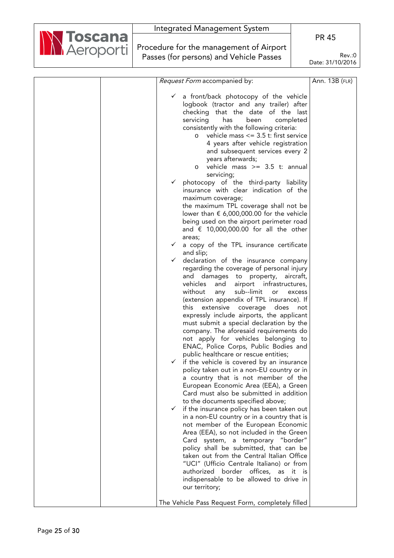

Procedure for the management of Airport Passes (for persons) and Vehicle Passes

|  | Request Form accompanied by:                                                                    | Ann. 13B (FLR) |
|--|-------------------------------------------------------------------------------------------------|----------------|
|  |                                                                                                 |                |
|  | a front/back photocopy of the vehicle<br>$\checkmark$                                           |                |
|  | logbook (tractor and any trailer) after                                                         |                |
|  | checking that the date of the last                                                              |                |
|  | servicing<br>completed<br>has<br>been                                                           |                |
|  | consistently with the following criteria:                                                       |                |
|  | vehicle mass $\leq$ 3.5 t: first service<br>O                                                   |                |
|  | 4 years after vehicle registration                                                              |                |
|  | and subsequent services every 2                                                                 |                |
|  | years afterwards;<br>vehicle mass $>= 3.5$ t: annual                                            |                |
|  | $\circ$<br>servicing;                                                                           |                |
|  | photocopy of the third-party liability<br>$\checkmark$                                          |                |
|  | insurance with clear indication of the                                                          |                |
|  | maximum coverage;                                                                               |                |
|  | the maximum TPL coverage shall not be                                                           |                |
|  | lower than $\epsilon$ 6,000,000.00 for the vehicle                                              |                |
|  | being used on the airport perimeter road                                                        |                |
|  | and $\epsilon$ 10,000,000.00 for all the other                                                  |                |
|  | areas;                                                                                          |                |
|  | $\checkmark$<br>a copy of the TPL insurance certificate                                         |                |
|  | and slip;                                                                                       |                |
|  | declaration of the insurance company<br>$\checkmark$                                            |                |
|  | regarding the coverage of personal injury                                                       |                |
|  | and damages to property, aircraft,<br>airport infrastructures,                                  |                |
|  | vehicles<br>and<br>without<br>sub--limit<br>any<br>excess                                       |                |
|  | or<br>(extension appendix of TPL insurance). If                                                 |                |
|  | this<br>extensive<br>coverage<br>does<br>not                                                    |                |
|  | expressly include airports, the applicant                                                       |                |
|  | must submit a special declaration by the                                                        |                |
|  | company. The aforesaid requirements do                                                          |                |
|  | not apply for vehicles belonging to                                                             |                |
|  | ENAC, Police Corps, Public Bodies and                                                           |                |
|  | public healthcare or rescue entities;                                                           |                |
|  | if the vehicle is covered by an insurance                                                       |                |
|  | policy taken out in a non-EU country or in                                                      |                |
|  | a country that is not member of the                                                             |                |
|  | European Economic Area (EEA), a Green                                                           |                |
|  | Card must also be submitted in addition                                                         |                |
|  | to the documents specified above;<br>if the insurance policy has been taken out<br>$\checkmark$ |                |
|  | in a non-EU country or in a country that is                                                     |                |
|  | not member of the European Economic                                                             |                |
|  | Area (EEA), so not included in the Green                                                        |                |
|  | Card system, a temporary "border"                                                               |                |
|  | policy shall be submitted, that can be                                                          |                |
|  | taken out from the Central Italian Office                                                       |                |
|  | "UCI" (Ufficio Centrale Italiano) or from                                                       |                |
|  | authorized border offices, as it<br>is is                                                       |                |
|  | indispensable to be allowed to drive in                                                         |                |
|  | our territory;                                                                                  |                |
|  |                                                                                                 |                |
|  | The Vehicle Pass Request Form, completely filled                                                |                |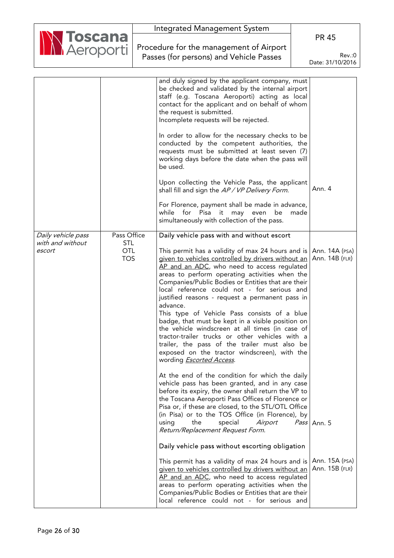| Integrated Management System                       |                            |
|----------------------------------------------------|----------------------------|
|                                                    | <b>PR 45</b>               |
| Marcoporti Procedure for the management of Airport |                            |
| Passes (for persons) and Vehicle Passes            | Rev: 0<br>Date: 31/10/2016 |

|                    |                          | and duly signed by the applicant company, must<br>be checked and validated by the internal airport<br>staff (e.g. Toscana Aeroporti) acting as local<br>contact for the applicant and on behalf of whom<br>the request is submitted.<br>Incomplete requests will be rejected.<br>In order to allow for the necessary checks to be                                                                                                                                                                                                                                                                                                                                                                                                                                                                                                                                                                                                                                                                                     |                                  |
|--------------------|--------------------------|-----------------------------------------------------------------------------------------------------------------------------------------------------------------------------------------------------------------------------------------------------------------------------------------------------------------------------------------------------------------------------------------------------------------------------------------------------------------------------------------------------------------------------------------------------------------------------------------------------------------------------------------------------------------------------------------------------------------------------------------------------------------------------------------------------------------------------------------------------------------------------------------------------------------------------------------------------------------------------------------------------------------------|----------------------------------|
|                    |                          | conducted by the competent authorities, the<br>requests must be submitted at least seven (7)<br>working days before the date when the pass will<br>be used.                                                                                                                                                                                                                                                                                                                                                                                                                                                                                                                                                                                                                                                                                                                                                                                                                                                           |                                  |
|                    |                          | Upon collecting the Vehicle Pass, the applicant<br>shall fill and sign the AP / VP Delivery Form.                                                                                                                                                                                                                                                                                                                                                                                                                                                                                                                                                                                                                                                                                                                                                                                                                                                                                                                     | Ann. 4                           |
|                    |                          | For Florence, payment shall be made in advance,<br>while for Pisa it may even be<br>made<br>simultaneously with collection of the pass.                                                                                                                                                                                                                                                                                                                                                                                                                                                                                                                                                                                                                                                                                                                                                                                                                                                                               |                                  |
| Daily vehicle pass | Pass Office              | Daily vehicle pass with and without escort                                                                                                                                                                                                                                                                                                                                                                                                                                                                                                                                                                                                                                                                                                                                                                                                                                                                                                                                                                            |                                  |
| with and without   | <b>STL</b>               |                                                                                                                                                                                                                                                                                                                                                                                                                                                                                                                                                                                                                                                                                                                                                                                                                                                                                                                                                                                                                       |                                  |
| escort             | <b>OTL</b><br><b>TOS</b> | This permit has a validity of max 24 hours and is   Ann. 14A (PSA)<br>given to vehicles controlled by drivers without an<br>AP and an ADC, who need to access regulated<br>areas to perform operating activities when the<br>Companies/Public Bodies or Entities that are their<br>local reference could not - for serious and<br>justified reasons - request a permanent pass in<br>advance.<br>This type of Vehicle Pass consists of a blue<br>badge, that must be kept in a visible position on<br>the vehicle windscreen at all times (in case of<br>tractor-trailer trucks or other vehicles with a<br>trailer, the pass of the trailer must also be<br>exposed on the tractor windscreen), with the<br>wording <b>Escorted Access</b> .<br>At the end of the condition for which the daily<br>vehicle pass has been granted, and in any case<br>before its expiry, the owner shall return the VP to<br>the Toscana Aeroporti Pass Offices of Florence or<br>Pisa or, if these are closed, to the STL/OTL Office | Ann. 14B (FLR)                   |
|                    |                          | (in Pisa) or to the TOS Office (in Florence), by<br>the<br>special<br>Airport<br>using<br>Return/Replacement Request Form.                                                                                                                                                                                                                                                                                                                                                                                                                                                                                                                                                                                                                                                                                                                                                                                                                                                                                            | Pass Ann. 5                      |
|                    |                          | Daily vehicle pass without escorting obligation                                                                                                                                                                                                                                                                                                                                                                                                                                                                                                                                                                                                                                                                                                                                                                                                                                                                                                                                                                       |                                  |
|                    |                          | This permit has a validity of max 24 hours and is<br>given to vehicles controlled by drivers without an<br>AP and an ADC, who need to access regulated<br>areas to perform operating activities when the<br>Companies/Public Bodies or Entities that are their<br>local reference could not - for serious and                                                                                                                                                                                                                                                                                                                                                                                                                                                                                                                                                                                                                                                                                                         | Ann. 15A (PSA)<br>Ann. 15B (FLR) |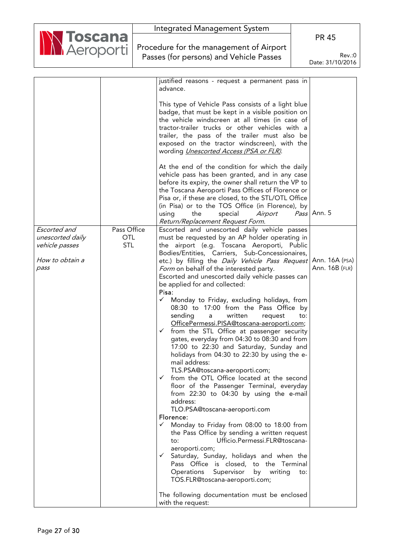| Integrated Management System                       |                  |
|----------------------------------------------------|------------------|
| Marcoporti Procedure for the management of Airport | <b>PR 45</b>     |
|                                                    |                  |
| Passes (for persons) and Vehicle Passes            | Rev.:0           |
|                                                    | Date: 31/10/2016 |

|                  |             | justified reasons - request a permanent pass in<br>advance.                                                                                                                                                                                                                                                                                                                                        |                |
|------------------|-------------|----------------------------------------------------------------------------------------------------------------------------------------------------------------------------------------------------------------------------------------------------------------------------------------------------------------------------------------------------------------------------------------------------|----------------|
|                  |             |                                                                                                                                                                                                                                                                                                                                                                                                    |                |
|                  |             | This type of Vehicle Pass consists of a light blue<br>badge, that must be kept in a visible position on<br>the vehicle windscreen at all times (in case of                                                                                                                                                                                                                                         |                |
|                  |             | tractor-trailer trucks or other vehicles with a<br>trailer, the pass of the trailer must also be                                                                                                                                                                                                                                                                                                   |                |
|                  |             | exposed on the tractor windscreen), with the                                                                                                                                                                                                                                                                                                                                                       |                |
|                  |             | wording <i>Unescorted Access (PSA or FLR)</i> .                                                                                                                                                                                                                                                                                                                                                    |                |
|                  |             | At the end of the condition for which the daily<br>vehicle pass has been granted, and in any case<br>before its expiry, the owner shall return the VP to<br>the Toscana Aeroporti Pass Offices of Florence or<br>Pisa or, if these are closed, to the STL/OTL Office<br>(in Pisa) or to the TOS Office (in Florence), by<br>Airport<br>using<br>the<br>special<br>Return/Replacement Request Form. | Pass Ann. 5    |
| Escorted and     | Pass Office | Escorted and unescorted daily vehicle passes                                                                                                                                                                                                                                                                                                                                                       |                |
| unescorted daily | <b>OTL</b>  | must be requested by an AP holder operating in                                                                                                                                                                                                                                                                                                                                                     |                |
| vehicle passes   | <b>STL</b>  | the airport (e.g. Toscana Aeroporti, Public                                                                                                                                                                                                                                                                                                                                                        |                |
|                  |             | Bodies/Entities, Carriers, Sub-Concessionaires,                                                                                                                                                                                                                                                                                                                                                    |                |
| How to obtain a  |             | etc.) by filling the <i>Daily Vehicle Pass Request</i>   Ann. 16A (PSA)                                                                                                                                                                                                                                                                                                                            |                |
| pass             |             | Form on behalf of the interested party.                                                                                                                                                                                                                                                                                                                                                            | Ann. 16B (FLR) |
|                  |             | Escorted and unescorted daily vehicle passes can                                                                                                                                                                                                                                                                                                                                                   |                |
|                  |             | be applied for and collected:                                                                                                                                                                                                                                                                                                                                                                      |                |
|                  |             | Pisa:<br>$\checkmark$                                                                                                                                                                                                                                                                                                                                                                              |                |
|                  |             | Monday to Friday, excluding holidays, from<br>08:30 to 17:00 from the Pass Office by                                                                                                                                                                                                                                                                                                               |                |
|                  |             | written<br>sending<br>request<br>to:<br>a                                                                                                                                                                                                                                                                                                                                                          |                |
|                  |             | OfficePermessi.PISA@toscana-aeroporti.com;                                                                                                                                                                                                                                                                                                                                                         |                |
|                  |             | $\checkmark$ from the STL Office at passenger security                                                                                                                                                                                                                                                                                                                                             |                |
|                  |             | gates, everyday from 04:30 to 08:30 and from                                                                                                                                                                                                                                                                                                                                                       |                |
|                  |             | 17:00 to 22:30 and Saturday, Sunday and                                                                                                                                                                                                                                                                                                                                                            |                |
|                  |             | holidays from 04:30 to 22:30 by using the e-                                                                                                                                                                                                                                                                                                                                                       |                |
|                  |             | mail address:                                                                                                                                                                                                                                                                                                                                                                                      |                |
|                  |             | TLS.PSA@toscana-aeroporti.com;                                                                                                                                                                                                                                                                                                                                                                     |                |
|                  |             | from the OTL Office located at the second                                                                                                                                                                                                                                                                                                                                                          |                |
|                  |             | floor of the Passenger Terminal, everyday                                                                                                                                                                                                                                                                                                                                                          |                |
|                  |             | from 22:30 to 04:30 by using the e-mail                                                                                                                                                                                                                                                                                                                                                            |                |
|                  |             | address:                                                                                                                                                                                                                                                                                                                                                                                           |                |
|                  |             | TLO.PSA@toscana-aeroporti.com<br>Florence:                                                                                                                                                                                                                                                                                                                                                         |                |
|                  |             | Monday to Friday from 08:00 to 18:00 from<br>$\checkmark$                                                                                                                                                                                                                                                                                                                                          |                |
|                  |             | the Pass Office by sending a written request                                                                                                                                                                                                                                                                                                                                                       |                |
|                  |             | Ufficio.Permessi.FLR@toscana-<br>to:                                                                                                                                                                                                                                                                                                                                                               |                |
|                  |             | aeroporti.com;                                                                                                                                                                                                                                                                                                                                                                                     |                |
|                  |             | $\checkmark$ Saturday, Sunday, holidays and when the                                                                                                                                                                                                                                                                                                                                               |                |
|                  |             | Pass Office is closed, to the Terminal                                                                                                                                                                                                                                                                                                                                                             |                |
|                  |             | Operations Supervisor<br>by writing<br>to:                                                                                                                                                                                                                                                                                                                                                         |                |
|                  |             | TOS.FLR@toscana-aeroporti.com;                                                                                                                                                                                                                                                                                                                                                                     |                |
|                  |             |                                                                                                                                                                                                                                                                                                                                                                                                    |                |
|                  |             | The following documentation must be enclosed                                                                                                                                                                                                                                                                                                                                                       |                |
|                  |             | with the request:                                                                                                                                                                                                                                                                                                                                                                                  |                |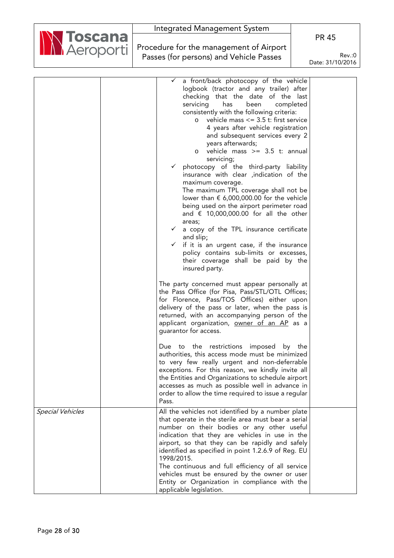

Procedure for the management of Airport Passes (for persons) and Vehicle Passes

PR 45

|                         | a front/back photocopy of the vehicle<br>$\checkmark$<br>logbook (tractor and any trailer) after<br>checking that the date of the last<br>been<br>servicing<br>has<br>completed<br>consistently with the following criteria:<br>vehicle mass $\leq$ 3.5 t: first service<br>$\circ$<br>4 years after vehicle registration<br>and subsequent services every 2<br>years afterwards;<br>vehicle mass $\ge$ 3.5 t: annual<br>$\circ$<br>servicing;<br>photocopy of the third-party liability<br>insurance with clear , indication of the<br>maximum coverage.<br>The maximum TPL coverage shall not be<br>lower than $\epsilon$ 6,000,000.00 for the vehicle<br>being used on the airport perimeter road<br>and $\epsilon$ 10,000,000.00 for all the other<br>areas;<br>a copy of the TPL insurance certificate<br>$\checkmark$<br>and slip;<br>if it is an urgent case, if the insurance<br>$\checkmark$ |  |
|-------------------------|-------------------------------------------------------------------------------------------------------------------------------------------------------------------------------------------------------------------------------------------------------------------------------------------------------------------------------------------------------------------------------------------------------------------------------------------------------------------------------------------------------------------------------------------------------------------------------------------------------------------------------------------------------------------------------------------------------------------------------------------------------------------------------------------------------------------------------------------------------------------------------------------------------|--|
|                         | policy contains sub-limits or excesses,<br>their coverage shall be paid by the<br>insured party.                                                                                                                                                                                                                                                                                                                                                                                                                                                                                                                                                                                                                                                                                                                                                                                                      |  |
|                         | The party concerned must appear personally at<br>the Pass Office (for Pisa, Pass/STL/OTL Offices;<br>for Florence, Pass/TOS Offices) either upon<br>delivery of the pass or later, when the pass is<br>returned, with an accompanying person of the<br>applicant organization, owner of an AP as a<br>quarantor for access.                                                                                                                                                                                                                                                                                                                                                                                                                                                                                                                                                                           |  |
|                         | Due to the restrictions imposed by the<br>authorities, this access mode must be minimized<br>to very few really urgent and non-deferrable<br>exceptions. For this reason, we kindly invite all<br>the Entities and Organizations to schedule airport<br>accesses as much as possible well in advance in<br>order to allow the time required to issue a regular<br>Pass.                                                                                                                                                                                                                                                                                                                                                                                                                                                                                                                               |  |
| <b>Special Vehicles</b> | All the vehicles not identified by a number plate<br>that operate in the sterile area must bear a serial<br>number on their bodies or any other useful<br>indication that they are vehicles in use in the<br>airport, so that they can be rapidly and safely<br>identified as specified in point 1.2.6.9 of Reg. EU<br>1998/2015.<br>The continuous and full efficiency of all service<br>vehicles must be ensured by the owner or user<br>Entity or Organization in compliance with the<br>applicable legislation.                                                                                                                                                                                                                                                                                                                                                                                   |  |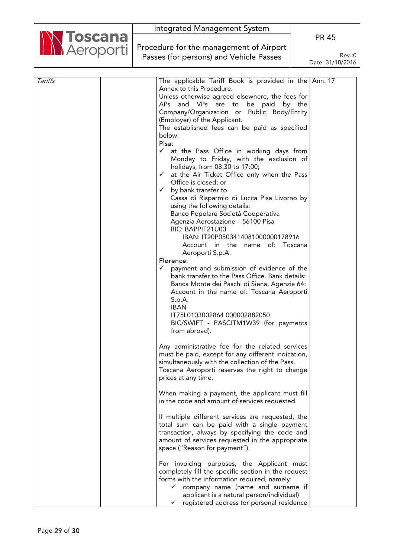|  | Integrated Management System                          |                            |
|--|-------------------------------------------------------|----------------------------|
|  | Marcoporti<br>Procedure for the management of Airport | <b>PR 45</b>               |
|  |                                                       |                            |
|  | Passes (for persons) and Vehicle Passes               | Rev.:0<br>Date: 31/10/2016 |

| Tariffs | The applicable Tariff Book is provided in the Ann. 17       |  |
|---------|-------------------------------------------------------------|--|
|         | Annex to this Procedure.                                    |  |
|         | Unless otherwise agreed elsewhere, the fees for             |  |
|         | APs and VPs are to be paid by the                           |  |
|         | Company/Organization or Public Body/Entity                  |  |
|         | (Employer) of the Applicant.                                |  |
|         | The established fees can be paid as specified               |  |
|         | below:                                                      |  |
|         | Pisa:                                                       |  |
|         |                                                             |  |
|         | $\checkmark$ at the Pass Office in working days from        |  |
|         | Monday to Friday, with the exclusion of                     |  |
|         | holidays, from 08:30 to 17:00;                              |  |
|         | at the Air Ticket Office only when the Pass<br>$\checkmark$ |  |
|         | Office is closed; or                                        |  |
|         | by bank transfer to<br>$\checkmark$                         |  |
|         | Cassa di Risparmio di Lucca Pisa Livorno by                 |  |
|         | using the following details:                                |  |
|         | Banco Popolare Società Cooperativa                          |  |
|         | Agenzia Aerostazione - 56100 Pisa                           |  |
|         | BIC: BAPPIT21U03                                            |  |
|         | IBAN: IT20P0503414081000000178916                           |  |
|         |                                                             |  |
|         | Account in the name of: Toscana                             |  |
|         | Aeroporti S.p.A.                                            |  |
|         | Florence:                                                   |  |
|         | payment and submission of evidence of the<br>$\checkmark$   |  |
|         | bank transfer to the Pass Office. Bank details:             |  |
|         | Banca Monte dei Paschi di Siena, Agenzia 64:                |  |
|         | Account in the name of: Toscana Aeroporti                   |  |
|         | S.p.A.                                                      |  |
|         | <b>IBAN</b>                                                 |  |
|         | IT75L0103002864 000002882050                                |  |
|         | BIC/SWIFT - PASCITM1W39 (for payments                       |  |
|         | from abroad).                                               |  |
|         |                                                             |  |
|         | Any administrative fee for the related services             |  |
|         |                                                             |  |
|         | must be paid, except for any different indication,          |  |
|         | simultaneously with the collection of the Pass.             |  |
|         | Toscana Aeroporti reserves the right to change              |  |
|         | prices at any time.                                         |  |
|         |                                                             |  |
|         | When making a payment, the applicant must fill              |  |
|         | in the code and amount of services requested.               |  |
|         |                                                             |  |
|         | If multiple different services are requested, the           |  |
|         | total sum can be paid with a single payment                 |  |
|         | transaction, always by specifying the code and              |  |
|         | amount of services requested in the appropriate             |  |
|         | space ("Reason for payment").                               |  |
|         |                                                             |  |
|         | For invoicing purposes, the Applicant must                  |  |
|         | completely fill the specific section in the request         |  |
|         |                                                             |  |
|         | forms with the information required, namely:                |  |
|         | $\checkmark$ company name (name and surname if              |  |
|         | applicant is a natural person/individual)                   |  |
|         | registered address (or personal residence<br>$\checkmark$   |  |